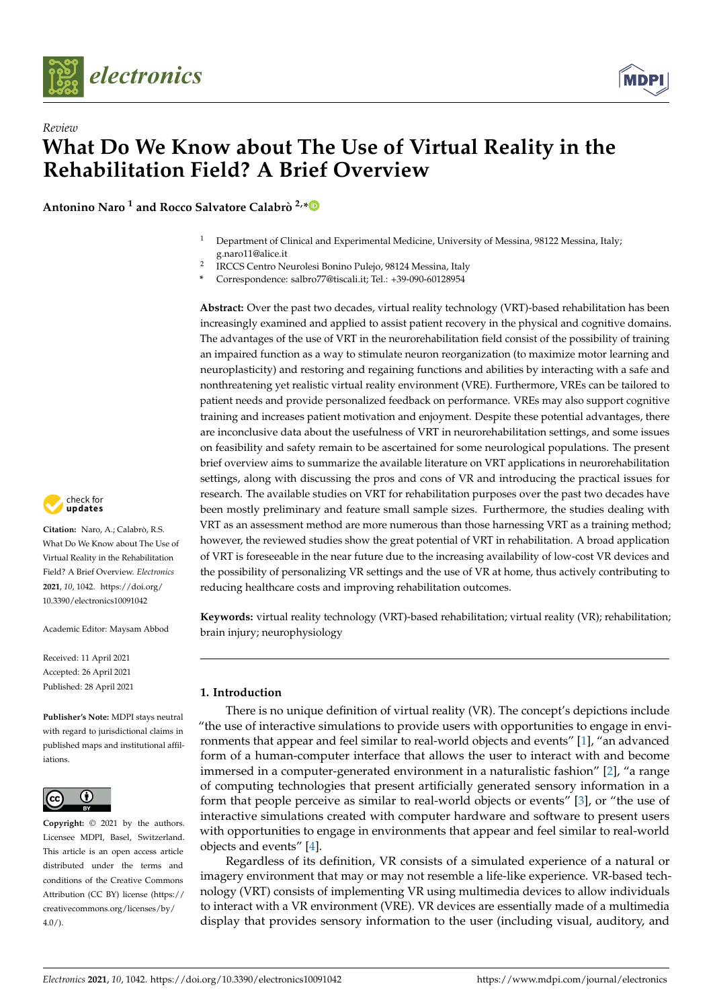



**Antonino Naro <sup>1</sup> and Rocco Salvatore Calabrò 2,[\\*](https://orcid.org/0000-0002-8566-3166)**

- <sup>1</sup> Department of Clinical and Experimental Medicine, University of Messina, 98122 Messina, Italy; g.naro11@alice.it
- 2 IRCCS Centro Neurolesi Bonino Pulejo, 98124 Messina, Italy
- **\*** Correspondence: salbro77@tiscali.it; Tel.: +39-090-60128954

**Abstract:** Over the past two decades, virtual reality technology (VRT)-based rehabilitation has been increasingly examined and applied to assist patient recovery in the physical and cognitive domains. The advantages of the use of VRT in the neurorehabilitation field consist of the possibility of training an impaired function as a way to stimulate neuron reorganization (to maximize motor learning and neuroplasticity) and restoring and regaining functions and abilities by interacting with a safe and nonthreatening yet realistic virtual reality environment (VRE). Furthermore, VREs can be tailored to patient needs and provide personalized feedback on performance. VREs may also support cognitive training and increases patient motivation and enjoyment. Despite these potential advantages, there are inconclusive data about the usefulness of VRT in neurorehabilitation settings, and some issues on feasibility and safety remain to be ascertained for some neurological populations. The present brief overview aims to summarize the available literature on VRT applications in neurorehabilitation settings, along with discussing the pros and cons of VR and introducing the practical issues for research. The available studies on VRT for rehabilitation purposes over the past two decades have been mostly preliminary and feature small sample sizes. Furthermore, the studies dealing with VRT as an assessment method are more numerous than those harnessing VRT as a training method; however, the reviewed studies show the great potential of VRT in rehabilitation. A broad application of VRT is foreseeable in the near future due to the increasing availability of low-cost VR devices and the possibility of personalizing VR settings and the use of VR at home, thus actively contributing to reducing healthcare costs and improving rehabilitation outcomes.

**Keywords:** virtual reality technology (VRT)-based rehabilitation; virtual reality (VR); rehabilitation; brain injury; neurophysiology

# **1. Introduction**

There is no unique definition of virtual reality (VR). The concept's depictions include "the use of interactive simulations to provide users with opportunities to engage in environments that appear and feel similar to real-world objects and events" [\[1\]](#page-11-0), "an advanced form of a human-computer interface that allows the user to interact with and become immersed in a computer-generated environment in a naturalistic fashion" [\[2\]](#page-11-1), "a range of computing technologies that present artificially generated sensory information in a form that people perceive as similar to real-world objects or events" [\[3\]](#page-11-2), or "the use of interactive simulations created with computer hardware and software to present users with opportunities to engage in environments that appear and feel similar to real-world objects and events" [\[4\]](#page-11-3).

Regardless of its definition, VR consists of a simulated experience of a natural or imagery environment that may or may not resemble a life-like experience. VR-based technology (VRT) consists of implementing VR using multimedia devices to allow individuals to interact with a VR environment (VRE). VR devices are essentially made of a multimedia display that provides sensory information to the user (including visual, auditory, and



**Citation:** Naro, A.; Calabrò, R.S. What Do We Know about The Use of Virtual Reality in the Rehabilitation Field? A Brief Overview. *Electronics* **2021**, *10*, 1042. [https://doi.org/](https://doi.org/10.3390/electronics10091042) [10.3390/electronics10091042](https://doi.org/10.3390/electronics10091042)

Academic Editor: Maysam Abbod

Received: 11 April 2021 Accepted: 26 April 2021 Published: 28 April 2021

**Publisher's Note:** MDPI stays neutral with regard to jurisdictional claims in published maps and institutional affiliations.



**Copyright:** © 2021 by the authors. Licensee MDPI, Basel, Switzerland. This article is an open access article distributed under the terms and conditions of the Creative Commons Attribution (CC BY) license (https:/[/](https://creativecommons.org/licenses/by/4.0/) [creativecommons.org/licenses/by/](https://creativecommons.org/licenses/by/4.0/)  $4.0/$ ).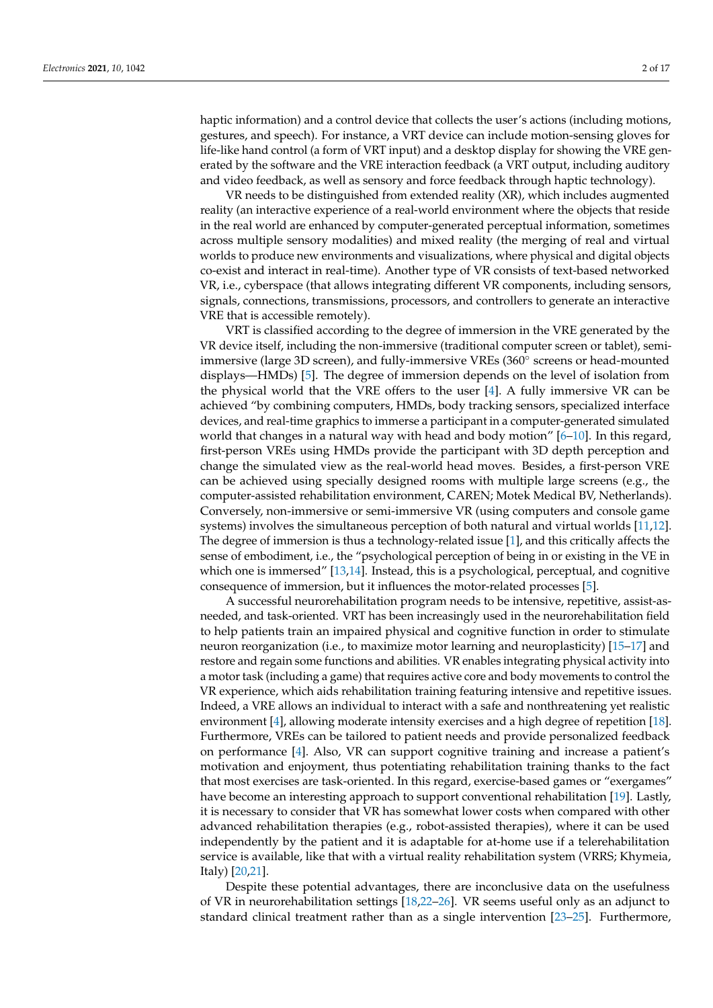haptic information) and a control device that collects the user's actions (including motions, gestures, and speech). For instance, a VRT device can include motion-sensing gloves for life-like hand control (a form of VRT input) and a desktop display for showing the VRE generated by the software and the VRE interaction feedback (a VRT output, including auditory and video feedback, as well as sensory and force feedback through haptic technology).

VR needs to be distinguished from extended reality (XR), which includes augmented reality (an interactive experience of a real-world environment where the objects that reside in the real world are enhanced by computer-generated perceptual information, sometimes across multiple sensory modalities) and mixed reality (the merging of real and virtual worlds to produce new environments and visualizations, where physical and digital objects co-exist and interact in real-time). Another type of VR consists of text-based networked VR, i.e., cyberspace (that allows integrating different VR components, including sensors, signals, connections, transmissions, processors, and controllers to generate an interactive VRE that is accessible remotely).

VRT is classified according to the degree of immersion in the VRE generated by the VR device itself, including the non-immersive (traditional computer screen or tablet), semiimmersive (large 3D screen), and fully-immersive VREs (360◦ screens or head-mounted displays—HMDs) [\[5\]](#page-11-4). The degree of immersion depends on the level of isolation from the physical world that the VRE offers to the user [\[4\]](#page-11-3). A fully immersive VR can be achieved "by combining computers, HMDs, body tracking sensors, specialized interface devices, and real-time graphics to immerse a participant in a computer-generated simulated world that changes in a natural way with head and body motion"  $[6-10]$  $[6-10]$ . In this regard, first-person VREs using HMDs provide the participant with 3D depth perception and change the simulated view as the real-world head moves. Besides, a first-person VRE can be achieved using specially designed rooms with multiple large screens (e.g., the computer-assisted rehabilitation environment, CAREN; Motek Medical BV, Netherlands). Conversely, non-immersive or semi-immersive VR (using computers and console game systems) involves the simultaneous perception of both natural and virtual worlds [\[11,](#page-12-1)[12\]](#page-12-2). The degree of immersion is thus a technology-related issue [\[1\]](#page-11-0), and this critically affects the sense of embodiment, i.e., the "psychological perception of being in or existing in the VE in which one is immersed" [\[13,](#page-12-3)[14\]](#page-12-4). Instead, this is a psychological, perceptual, and cognitive consequence of immersion, but it influences the motor-related processes [\[5\]](#page-11-4).

A successful neurorehabilitation program needs to be intensive, repetitive, assist-asneeded, and task-oriented. VRT has been increasingly used in the neurorehabilitation field to help patients train an impaired physical and cognitive function in order to stimulate neuron reorganization (i.e., to maximize motor learning and neuroplasticity) [\[15](#page-12-5)[–17\]](#page-12-6) and restore and regain some functions and abilities. VR enables integrating physical activity into a motor task (including a game) that requires active core and body movements to control the VR experience, which aids rehabilitation training featuring intensive and repetitive issues. Indeed, a VRE allows an individual to interact with a safe and nonthreatening yet realistic environment [\[4\]](#page-11-3), allowing moderate intensity exercises and a high degree of repetition [\[18\]](#page-12-7). Furthermore, VREs can be tailored to patient needs and provide personalized feedback on performance [\[4\]](#page-11-3). Also, VR can support cognitive training and increase a patient's motivation and enjoyment, thus potentiating rehabilitation training thanks to the fact that most exercises are task-oriented. In this regard, exercise-based games or "exergames" have become an interesting approach to support conventional rehabilitation [\[19\]](#page-12-8). Lastly, it is necessary to consider that VR has somewhat lower costs when compared with other advanced rehabilitation therapies (e.g., robot-assisted therapies), where it can be used independently by the patient and it is adaptable for at-home use if a telerehabilitation service is available, like that with a virtual reality rehabilitation system (VRRS; Khymeia, Italy) [\[20](#page-12-9)[,21\]](#page-12-10).

Despite these potential advantages, there are inconclusive data on the usefulness of VR in neurorehabilitation settings [\[18,](#page-12-7)[22](#page-12-11)[–26\]](#page-12-12). VR seems useful only as an adjunct to standard clinical treatment rather than as a single intervention [\[23](#page-12-13)[–25\]](#page-12-14). Furthermore,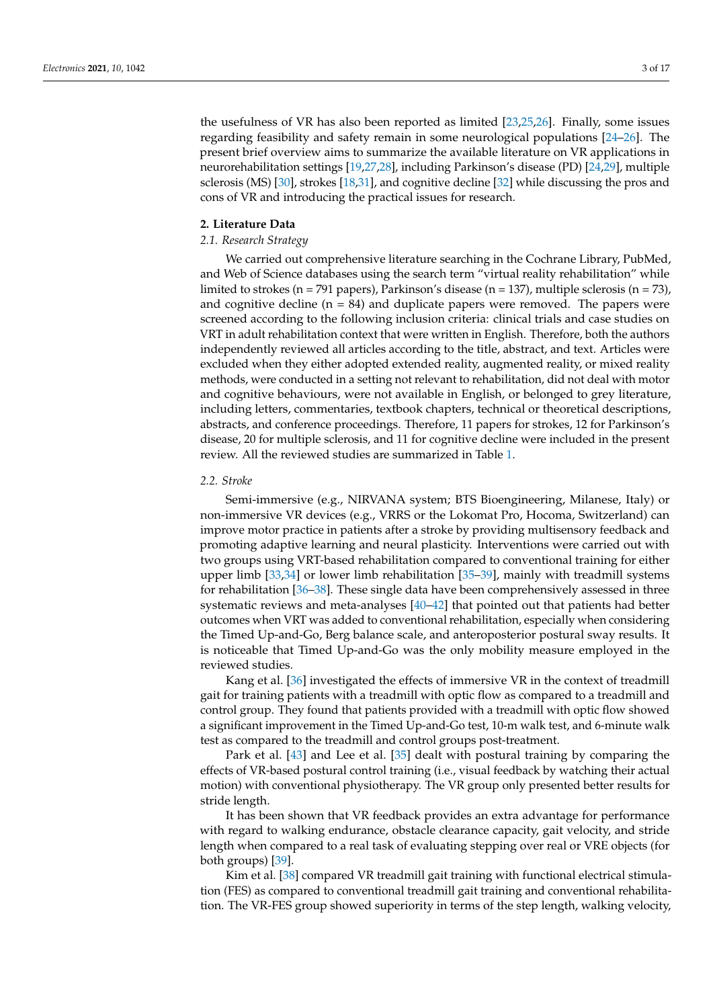the usefulness of VR has also been reported as limited [\[23](#page-12-13)[,25](#page-12-14)[,26\]](#page-12-12). Finally, some issues regarding feasibility and safety remain in some neurological populations [\[24–](#page-12-15)[26\]](#page-12-12). The present brief overview aims to summarize the available literature on VR applications in neurorehabilitation settings [\[19,](#page-12-8)[27](#page-12-16)[,28\]](#page-12-17), including Parkinson's disease (PD) [\[24](#page-12-15)[,29\]](#page-12-18), multiple sclerosis (MS) [\[30\]](#page-12-19), strokes [\[18,](#page-12-7)[31\]](#page-12-20), and cognitive decline [\[32\]](#page-12-21) while discussing the pros and cons of VR and introducing the practical issues for research.

#### **2. Literature Data**

# *2.1. Research Strategy*

We carried out comprehensive literature searching in the Cochrane Library, PubMed, and Web of Science databases using the search term "virtual reality rehabilitation" while limited to strokes (n = 791 papers), Parkinson's disease (n = 137), multiple sclerosis (n = 73), and cognitive decline  $(n = 84)$  and duplicate papers were removed. The papers were screened according to the following inclusion criteria: clinical trials and case studies on VRT in adult rehabilitation context that were written in English. Therefore, both the authors independently reviewed all articles according to the title, abstract, and text. Articles were excluded when they either adopted extended reality, augmented reality, or mixed reality methods, were conducted in a setting not relevant to rehabilitation, did not deal with motor and cognitive behaviours, were not available in English, or belonged to grey literature, including letters, commentaries, textbook chapters, technical or theoretical descriptions, abstracts, and conference proceedings. Therefore, 11 papers for strokes, 12 for Parkinson's disease, 20 for multiple sclerosis, and 11 for cognitive decline were included in the present review. All the reviewed studies are summarized in Table [1.](#page-6-0)

## *2.2. Stroke*

Semi-immersive (e.g., NIRVANA system; BTS Bioengineering, Milanese, Italy) or non-immersive VR devices (e.g., VRRS or the Lokomat Pro, Hocoma, Switzerland) can improve motor practice in patients after a stroke by providing multisensory feedback and promoting adaptive learning and neural plasticity. Interventions were carried out with two groups using VRT-based rehabilitation compared to conventional training for either upper limb [\[33](#page-12-22)[,34\]](#page-12-23) or lower limb rehabilitation [\[35](#page-12-24)[–39\]](#page-13-0), mainly with treadmill systems for rehabilitation [\[36–](#page-12-25)[38\]](#page-13-1). These single data have been comprehensively assessed in three systematic reviews and meta-analyses [\[40–](#page-13-2)[42\]](#page-13-3) that pointed out that patients had better outcomes when VRT was added to conventional rehabilitation, especially when considering the Timed Up-and-Go, Berg balance scale, and anteroposterior postural sway results. It is noticeable that Timed Up-and-Go was the only mobility measure employed in the reviewed studies.

Kang et al. [\[36\]](#page-12-25) investigated the effects of immersive VR in the context of treadmill gait for training patients with a treadmill with optic flow as compared to a treadmill and control group. They found that patients provided with a treadmill with optic flow showed a significant improvement in the Timed Up-and-Go test, 10-m walk test, and 6-minute walk test as compared to the treadmill and control groups post-treatment.

Park et al. [\[43\]](#page-13-4) and Lee et al. [\[35\]](#page-12-24) dealt with postural training by comparing the effects of VR-based postural control training (i.e., visual feedback by watching their actual motion) with conventional physiotherapy. The VR group only presented better results for stride length.

It has been shown that VR feedback provides an extra advantage for performance with regard to walking endurance, obstacle clearance capacity, gait velocity, and stride length when compared to a real task of evaluating stepping over real or VRE objects (for both groups) [\[39\]](#page-13-0).

Kim et al. [\[38\]](#page-13-1) compared VR treadmill gait training with functional electrical stimulation (FES) as compared to conventional treadmill gait training and conventional rehabilitation. The VR-FES group showed superiority in terms of the step length, walking velocity,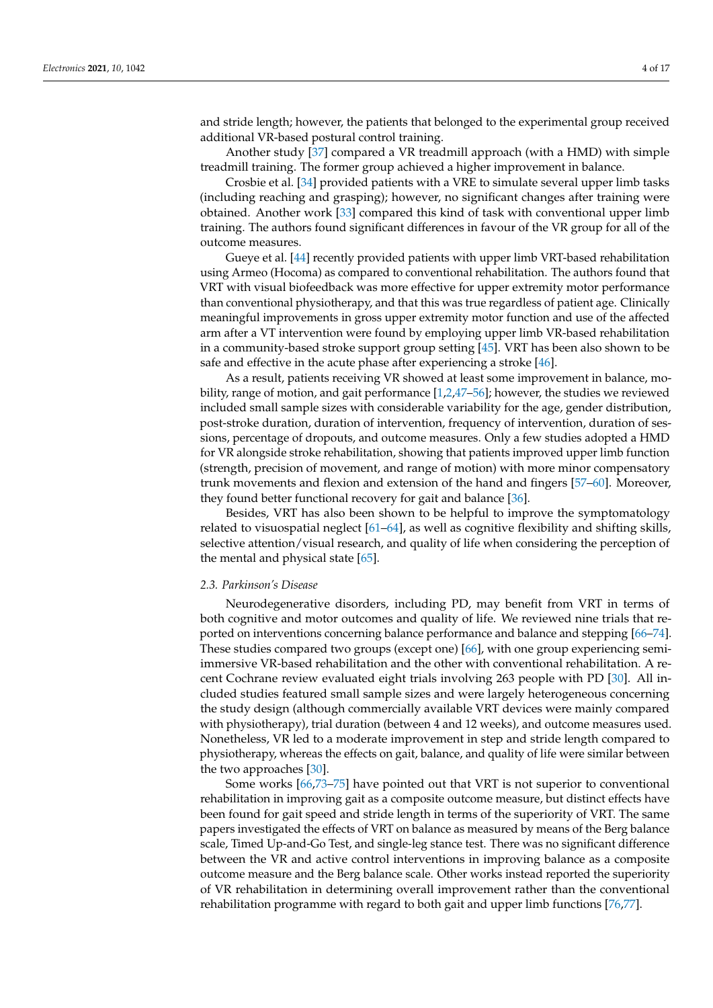and stride length; however, the patients that belonged to the experimental group received additional VR-based postural control training.

Another study [\[37\]](#page-12-26) compared a VR treadmill approach (with a HMD) with simple treadmill training. The former group achieved a higher improvement in balance.

Crosbie et al. [\[34\]](#page-12-23) provided patients with a VRE to simulate several upper limb tasks (including reaching and grasping); however, no significant changes after training were obtained. Another work [\[33\]](#page-12-22) compared this kind of task with conventional upper limb training. The authors found significant differences in favour of the VR group for all of the outcome measures.

Gueye et al. [\[44\]](#page-13-5) recently provided patients with upper limb VRT-based rehabilitation using Armeo (Hocoma) as compared to conventional rehabilitation. The authors found that VRT with visual biofeedback was more effective for upper extremity motor performance than conventional physiotherapy, and that this was true regardless of patient age. Clinically meaningful improvements in gross upper extremity motor function and use of the affected arm after a VT intervention were found by employing upper limb VR-based rehabilitation in a community-based stroke support group setting [\[45\]](#page-13-6). VRT has been also shown to be safe and effective in the acute phase after experiencing a stroke [\[46\]](#page-13-7).

As a result, patients receiving VR showed at least some improvement in balance, mobility, range of motion, and gait performance [\[1,](#page-11-0)[2,](#page-11-1)[47–](#page-13-8)[56\]](#page-13-9); however, the studies we reviewed included small sample sizes with considerable variability for the age, gender distribution, post-stroke duration, duration of intervention, frequency of intervention, duration of sessions, percentage of dropouts, and outcome measures. Only a few studies adopted a HMD for VR alongside stroke rehabilitation, showing that patients improved upper limb function (strength, precision of movement, and range of motion) with more minor compensatory trunk movements and flexion and extension of the hand and fingers [\[57](#page-13-10)[–60\]](#page-13-11). Moreover, they found better functional recovery for gait and balance [\[36\]](#page-12-25).

Besides, VRT has also been shown to be helpful to improve the symptomatology related to visuospatial neglect [\[61](#page-13-12)[–64\]](#page-13-13), as well as cognitive flexibility and shifting skills, selective attention/visual research, and quality of life when considering the perception of the mental and physical state [\[65\]](#page-14-0).

## *2.3. Parkinson's Disease*

Neurodegenerative disorders, including PD, may benefit from VRT in terms of both cognitive and motor outcomes and quality of life. We reviewed nine trials that reported on interventions concerning balance performance and balance and stepping [\[66](#page-14-1)[–74\]](#page-14-2). These studies compared two groups (except one) [\[66\]](#page-14-1), with one group experiencing semiimmersive VR-based rehabilitation and the other with conventional rehabilitation. A recent Cochrane review evaluated eight trials involving 263 people with PD [\[30\]](#page-12-19). All included studies featured small sample sizes and were largely heterogeneous concerning the study design (although commercially available VRT devices were mainly compared with physiotherapy), trial duration (between 4 and 12 weeks), and outcome measures used. Nonetheless, VR led to a moderate improvement in step and stride length compared to physiotherapy, whereas the effects on gait, balance, and quality of life were similar between the two approaches [\[30\]](#page-12-19).

Some works [\[66](#page-14-1)[,73](#page-14-3)[–75\]](#page-14-4) have pointed out that VRT is not superior to conventional rehabilitation in improving gait as a composite outcome measure, but distinct effects have been found for gait speed and stride length in terms of the superiority of VRT. The same papers investigated the effects of VRT on balance as measured by means of the Berg balance scale, Timed Up-and-Go Test, and single-leg stance test. There was no significant difference between the VR and active control interventions in improving balance as a composite outcome measure and the Berg balance scale. Other works instead reported the superiority of VR rehabilitation in determining overall improvement rather than the conventional rehabilitation programme with regard to both gait and upper limb functions [\[76](#page-14-5)[,77\]](#page-14-6).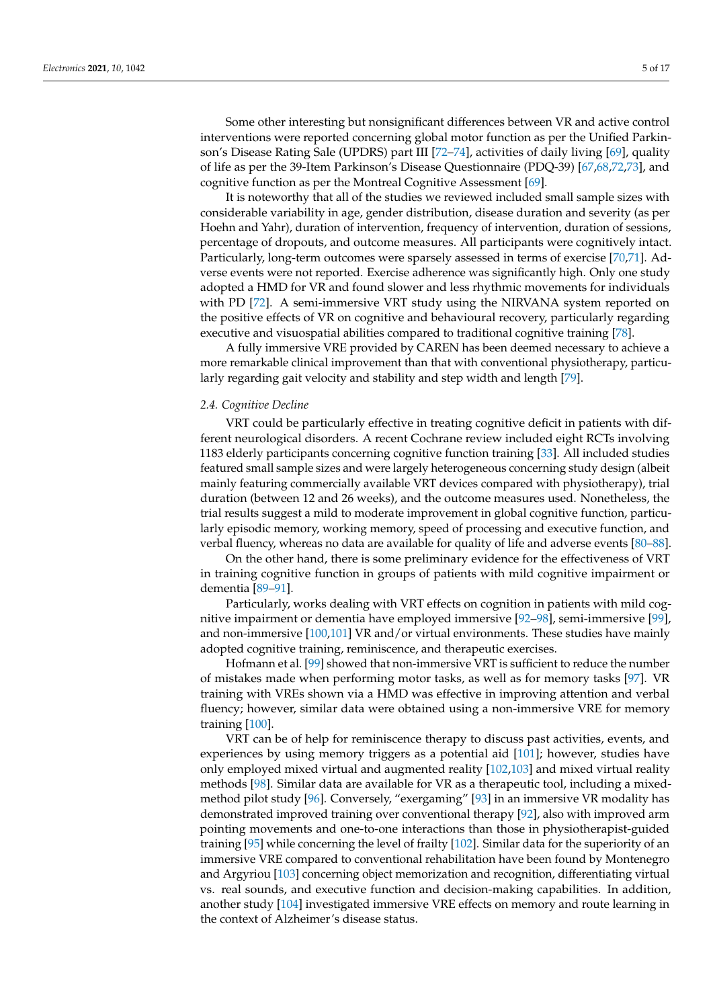Some other interesting but nonsignificant differences between VR and active control interventions were reported concerning global motor function as per the Unified Parkinson's Disease Rating Sale (UPDRS) part III [\[72–](#page-14-7)[74\]](#page-14-2), activities of daily living [\[69\]](#page-14-8), quality of life as per the 39-Item Parkinson's Disease Questionnaire (PDQ-39) [\[67](#page-14-9)[,68](#page-14-10)[,72](#page-14-7)[,73\]](#page-14-3), and cognitive function as per the Montreal Cognitive Assessment [\[69\]](#page-14-8).

It is noteworthy that all of the studies we reviewed included small sample sizes with considerable variability in age, gender distribution, disease duration and severity (as per Hoehn and Yahr), duration of intervention, frequency of intervention, duration of sessions, percentage of dropouts, and outcome measures. All participants were cognitively intact. Particularly, long-term outcomes were sparsely assessed in terms of exercise [\[70,](#page-14-11)[71\]](#page-14-12). Adverse events were not reported. Exercise adherence was significantly high. Only one study adopted a HMD for VR and found slower and less rhythmic movements for individuals with PD [\[72\]](#page-14-7). A semi-immersive VRT study using the NIRVANA system reported on the positive effects of VR on cognitive and behavioural recovery, particularly regarding executive and visuospatial abilities compared to traditional cognitive training [\[78\]](#page-14-13).

A fully immersive VRE provided by CAREN has been deemed necessary to achieve a more remarkable clinical improvement than that with conventional physiotherapy, particularly regarding gait velocity and stability and step width and length [\[79\]](#page-14-14).

#### *2.4. Cognitive Decline*

VRT could be particularly effective in treating cognitive deficit in patients with different neurological disorders. A recent Cochrane review included eight RCTs involving 1183 elderly participants concerning cognitive function training [\[33\]](#page-12-22). All included studies featured small sample sizes and were largely heterogeneous concerning study design (albeit mainly featuring commercially available VRT devices compared with physiotherapy), trial duration (between 12 and 26 weeks), and the outcome measures used. Nonetheless, the trial results suggest a mild to moderate improvement in global cognitive function, particularly episodic memory, working memory, speed of processing and executive function, and verbal fluency, whereas no data are available for quality of life and adverse events [\[80](#page-14-15)[–88\]](#page-15-0).

On the other hand, there is some preliminary evidence for the effectiveness of VRT in training cognitive function in groups of patients with mild cognitive impairment or dementia [\[89](#page-15-1)[–91\]](#page-15-2).

Particularly, works dealing with VRT effects on cognition in patients with mild cognitive impairment or dementia have employed immersive [\[92](#page-15-3)[–98\]](#page-15-4), semi-immersive [\[99\]](#page-15-5), and non-immersive [\[100](#page-15-6)[,101\]](#page-15-7) VR and/or virtual environments. These studies have mainly adopted cognitive training, reminiscence, and therapeutic exercises.

Hofmann et al. [\[99\]](#page-15-5) showed that non-immersive VRT is sufficient to reduce the number of mistakes made when performing motor tasks, as well as for memory tasks [\[97\]](#page-15-8). VR training with VREs shown via a HMD was effective in improving attention and verbal fluency; however, similar data were obtained using a non-immersive VRE for memory training [\[100\]](#page-15-6).

VRT can be of help for reminiscence therapy to discuss past activities, events, and experiences by using memory triggers as a potential aid [\[101\]](#page-15-7); however, studies have only employed mixed virtual and augmented reality [\[102,](#page-15-9)[103\]](#page-15-10) and mixed virtual reality methods [\[98\]](#page-15-4). Similar data are available for VR as a therapeutic tool, including a mixedmethod pilot study [\[96\]](#page-15-11). Conversely, "exergaming" [\[93\]](#page-15-12) in an immersive VR modality has demonstrated improved training over conventional therapy [\[92\]](#page-15-3), also with improved arm pointing movements and one-to-one interactions than those in physiotherapist-guided training [\[95\]](#page-15-13) while concerning the level of frailty [\[102\]](#page-15-9). Similar data for the superiority of an immersive VRE compared to conventional rehabilitation have been found by Montenegro and Argyriou [\[103\]](#page-15-10) concerning object memorization and recognition, differentiating virtual vs. real sounds, and executive function and decision-making capabilities. In addition, another study [\[104\]](#page-15-14) investigated immersive VRE effects on memory and route learning in the context of Alzheimer's disease status.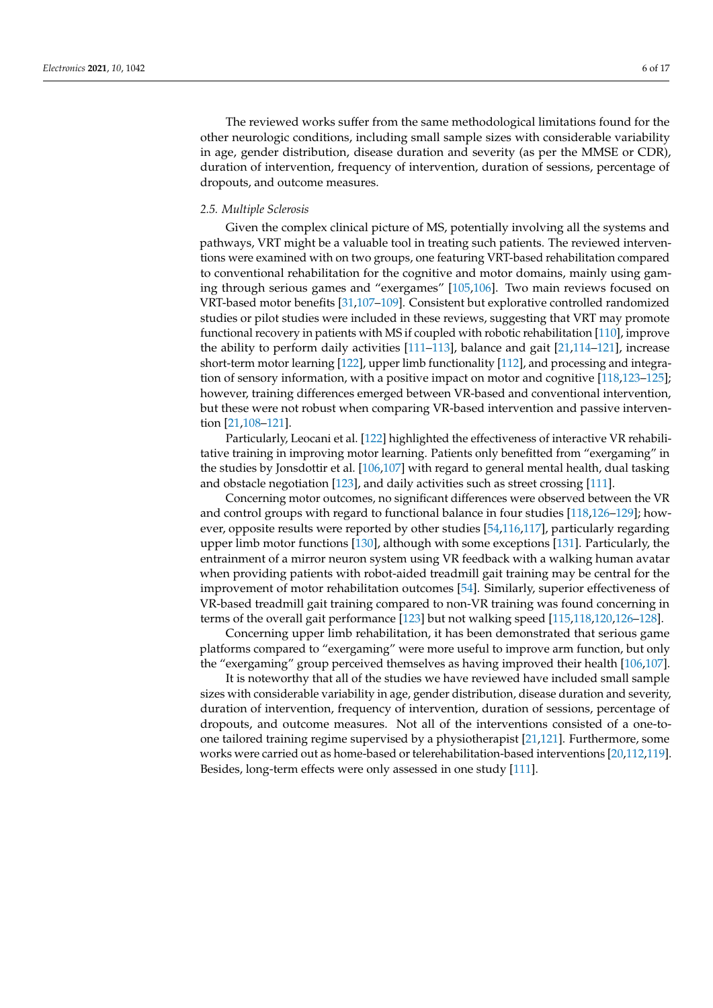The reviewed works suffer from the same methodological limitations found for the other neurologic conditions, including small sample sizes with considerable variability in age, gender distribution, disease duration and severity (as per the MMSE or CDR), duration of intervention, frequency of intervention, duration of sessions, percentage of dropouts, and outcome measures.

## *2.5. Multiple Sclerosis*

Given the complex clinical picture of MS, potentially involving all the systems and pathways, VRT might be a valuable tool in treating such patients. The reviewed interventions were examined with on two groups, one featuring VRT-based rehabilitation compared to conventional rehabilitation for the cognitive and motor domains, mainly using gaming through serious games and "exergames" [\[105](#page-15-15)[,106\]](#page-15-16). Two main reviews focused on VRT-based motor benefits [\[31,](#page-12-20)[107–](#page-15-17)[109\]](#page-15-18). Consistent but explorative controlled randomized studies or pilot studies were included in these reviews, suggesting that VRT may promote functional recovery in patients with MS if coupled with robotic rehabilitation [\[110\]](#page-15-19), improve the ability to perform daily activities [\[111–](#page-16-0)[113\]](#page-16-1), balance and gait [\[21,](#page-12-10)[114–](#page-16-2)[121\]](#page-16-3), increase short-term motor learning [\[122\]](#page-16-4), upper limb functionality [\[112\]](#page-16-5), and processing and integration of sensory information, with a positive impact on motor and cognitive [\[118](#page-16-6)[,123–](#page-16-7)[125\]](#page-16-8); however, training differences emerged between VR-based and conventional intervention, but these were not robust when comparing VR-based intervention and passive intervention [\[21](#page-12-10)[,108–](#page-15-20)[121\]](#page-16-3).

Particularly, Leocani et al. [\[122\]](#page-16-4) highlighted the effectiveness of interactive VR rehabilitative training in improving motor learning. Patients only benefitted from "exergaming" in the studies by Jonsdottir et al. [\[106,](#page-15-16)[107\]](#page-15-17) with regard to general mental health, dual tasking and obstacle negotiation [\[123\]](#page-16-7), and daily activities such as street crossing [\[111\]](#page-16-0).

Concerning motor outcomes, no significant differences were observed between the VR and control groups with regard to functional balance in four studies [\[118,](#page-16-6)[126](#page-16-9)[–129\]](#page-16-10); however, opposite results were reported by other studies [\[54,](#page-13-14)[116,](#page-16-11)[117\]](#page-16-12), particularly regarding upper limb motor functions [\[130\]](#page-16-13), although with some exceptions [\[131\]](#page-16-14). Particularly, the entrainment of a mirror neuron system using VR feedback with a walking human avatar when providing patients with robot-aided treadmill gait training may be central for the improvement of motor rehabilitation outcomes [\[54\]](#page-13-14). Similarly, superior effectiveness of VR-based treadmill gait training compared to non-VR training was found concerning in terms of the overall gait performance [\[123\]](#page-16-7) but not walking speed [\[115](#page-16-15)[,118](#page-16-6)[,120](#page-16-16)[,126–](#page-16-9)[128\]](#page-16-17).

Concerning upper limb rehabilitation, it has been demonstrated that serious game platforms compared to "exergaming" were more useful to improve arm function, but only the "exergaming" group perceived themselves as having improved their health [\[106,](#page-15-16)[107\]](#page-15-17).

It is noteworthy that all of the studies we have reviewed have included small sample sizes with considerable variability in age, gender distribution, disease duration and severity, duration of intervention, frequency of intervention, duration of sessions, percentage of dropouts, and outcome measures. Not all of the interventions consisted of a one-toone tailored training regime supervised by a physiotherapist [\[21](#page-12-10)[,121\]](#page-16-3). Furthermore, some works were carried out as home-based or telerehabilitation-based interventions [\[20,](#page-12-9)[112](#page-16-5)[,119\]](#page-16-18). Besides, long-term effects were only assessed in one study [\[111\]](#page-16-0).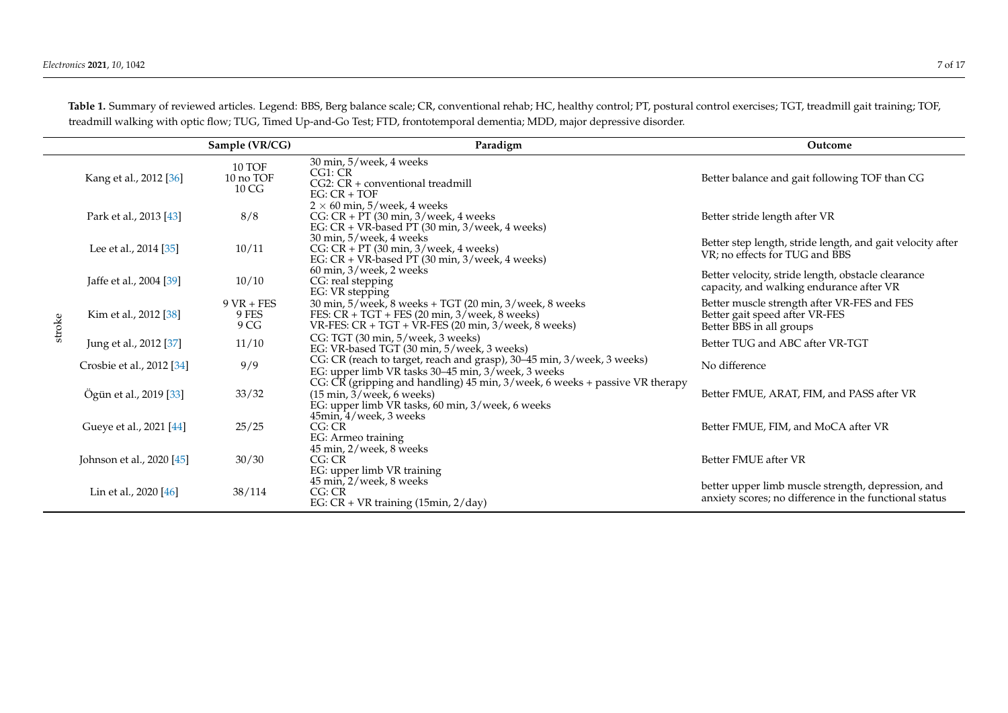<span id="page-6-0"></span>

|        |                           | Sample (VR/CG)                | Paradigm                                                                                                                                                                                       | Outcome                                                                                                      |
|--------|---------------------------|-------------------------------|------------------------------------------------------------------------------------------------------------------------------------------------------------------------------------------------|--------------------------------------------------------------------------------------------------------------|
|        | Kang et al., 2012 [36]    | 10 TOF<br>10 no TOF<br>10 CG  | 30 min, 5/week, 4 weeks<br>CG1: CR<br>CG2: CR + conventional treadmill<br>$EG: CR + TOF$                                                                                                       | Better balance and gait following TOF than CG                                                                |
|        | Park et al., 2013 [43]    | 8/8                           | $2 \times 60$ min, 5/week, 4 weeks<br>CG: $CR$ + PT (30 min, 3/week, 4 weeks<br>EG: $CR + VR$ -based PT (30 min, 3/week, 4 weeks)                                                              | Better stride length after VR                                                                                |
|        | Lee et al., 2014 [35]     | 10/11                         | 30 min, 5/week, 4 weeks<br>CG: CR + PT (30 min, 3/week, 4 weeks)<br>EG: CR + VR-based PT (30 min, 3/week, 4 weeks)                                                                             | Better step length, stride length, and gait velocity after<br>VR; no effects for TUG and BBS                 |
|        | Jaffe et al., 2004 [39]   | 10/10                         | 60 min, 3/week, 2 weeks<br>CG: real stepping<br>EG: VR stepping                                                                                                                                | Better velocity, stride length, obstacle clearance<br>capacity, and walking endurance after VR               |
| stroke | Kim et al., 2012 [38]     | $9$ VR + FES<br>9 FES<br>9 CG | 30 min, 5/week, 8 weeks + TGT (20 min, 3/week, 8 weeks<br>FES: $CR + TGT + FES$ (20 min, 3/week, 8 weeks)<br>VR-FES: $CR + TGT + VR$ -FES (20 min, 3/week, 8 weeks)                            | Better muscle strength after VR-FES and FES<br>Better gait speed after VR-FES<br>Better BBS in all groups    |
|        | Jung et al., 2012 [37]    | 11/10                         | CG: TGT (30 min, 5/week, 3 weeks)<br>EG: VR-based TGT (30 min, 5/week, 3 weeks)                                                                                                                | Better TUG and ABC after VR-TGT                                                                              |
|        | Crosbie et al., 2012 [34] | 9/9                           | CG: CR (reach to target, reach and grasp), 30-45 min, 3/week, 3 weeks)<br>EG: upper limb VR tasks 30-45 min, 3/week, 3 weeks                                                                   | No difference                                                                                                |
|        | Ögün et al., 2019 [33]    | 33/32                         | CG: CR (gripping and handling) 45 min, 3/week, 6 weeks + passive VR therapy<br>$(15 \text{ min}, \frac{3}{\text{ week}}, 6 \text{ weeks})$<br>EG: upper limb VR tasks, 60 min, 3/week, 6 weeks | Better FMUE, ARAT, FIM, and PASS after VR                                                                    |
|        | Gueye et al., 2021 [44]   | 25/25                         | 45min, 4/week, 3 weeks<br>CG:CR<br>EG: Armeo training                                                                                                                                          | Better FMUE, FIM, and MoCA after VR                                                                          |
|        | Johnson et al., 2020 [45] | 30/30                         | 45 min, 2/week, 8 weeks<br>CG: CR<br>EG: upper limb VR training                                                                                                                                | Better FMUE after VR                                                                                         |
|        | Lin et al., 2020 [46]     | 38/114                        | 45 min, 2/week, 8 weeks<br>CG:CR<br>EG: $CR + VR$ training (15min, $2/day$ )                                                                                                                   | better upper limb muscle strength, depression, and<br>anxiety scores; no difference in the functional status |

**Table 1.** Summary of reviewed articles. Legend: BBS, Berg balance scale; CR, conventional rehab; HC, healthy control; PT, postural control exercises; TGT, treadmill gait training; TOF, treadmill walking with optic flow; TUG, Timed Up-and-Go Test; FTD, frontotemporal dementia; MDD, major depressive disorder.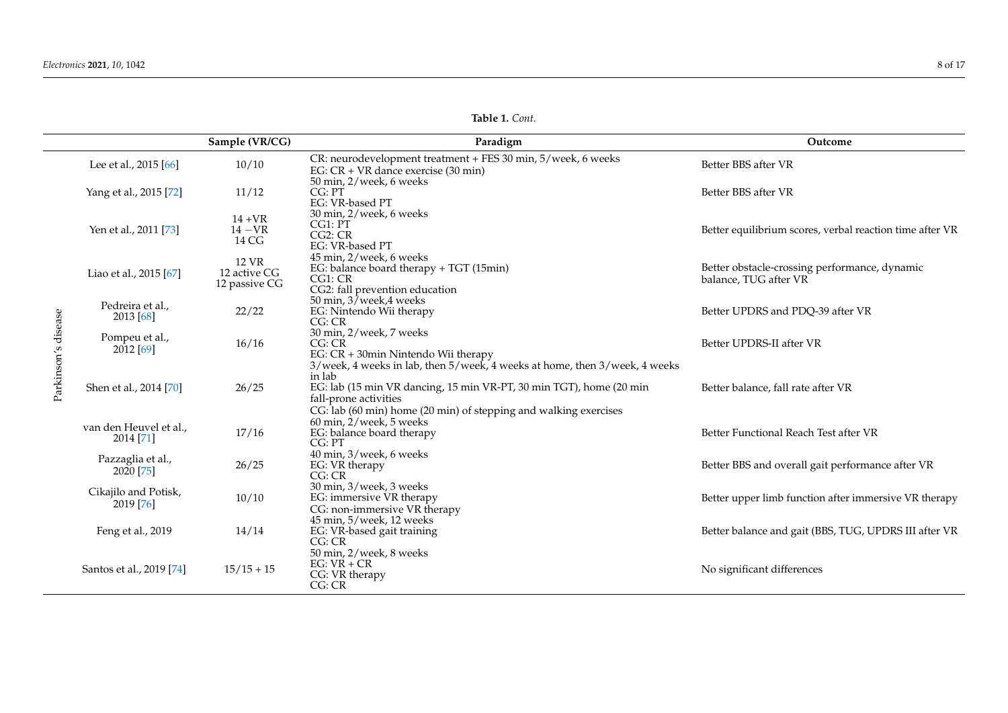|                     |                                     | Sample (VR/CG)                         | Paradigm                                                                                                                                                                   | Outcome                                                                |
|---------------------|-------------------------------------|----------------------------------------|----------------------------------------------------------------------------------------------------------------------------------------------------------------------------|------------------------------------------------------------------------|
|                     | Lee et al., 2015 [66]               | 10/10                                  | CR: neurodevelopment treatment + FES 30 min, 5/week, 6 weeks<br>EG: $CR + VR$ dance exercise (30 min)                                                                      | Better BBS after VR                                                    |
|                     | Yang et al., 2015 [72]              | 11/12                                  | 50 min, 2/week, 6 weeks<br>CG: PT<br>EG: VR-based PT                                                                                                                       | Better BBS after VR                                                    |
|                     | Yen et al., 2011 [73]               | $14 + VR$<br>$14 - VR$<br>14 CG        | 30 min, 2/week, 6 weeks<br>CG1: PT<br>CG2: CR<br>EG: VR-based PT                                                                                                           | Better equilibrium scores, verbal reaction time after VR               |
| Parkinson's disease | Liao et al., 2015 [67]              | 12 VR<br>12 active CG<br>12 passive CG | 45 min, 2/week, 6 weeks<br>EG: balance board therapy + TGT (15min)<br>CG1:CR<br>CG2: fall prevention education                                                             | Better obstacle-crossing performance, dynamic<br>balance, TUG after VR |
|                     | Pedreira et al.,<br>2013 [68]       | 22/22                                  | 50 min, 37 week, 4 weeks<br>EG: Nintendo Wii therapy<br>CG: CR                                                                                                             | Better UPDRS and PDQ-39 after VR                                       |
|                     | Pompeu et al.,<br>$2012$ [69]       | 16/16                                  | 30 min, 2/week, 7 weeks<br>CG:CR<br>EG: CR + 30min Nintendo Wii therapy<br>3/week, 4 weeks in lab, then 5/week, 4 weeks at home, then 3/week, 4 weeks                      | Better UPDRS-II after VR                                               |
|                     | Shen et al., 2014 [70]              | 26/25                                  | in lab<br>EG: lab (15 min VR dancing, 15 min VR-PT, 30 min TGT), home (20 min<br>fall-prone activities<br>CG: lab (60 min) home (20 min) of stepping and walking exercises | Better balance, fall rate after VR                                     |
|                     | van den Heuvel et al.,<br>2014 [71] | 17/16                                  | 60 min, 2/week, 5 weeks<br>EG: balance board therapy<br>CG: PT                                                                                                             | Better Functional Reach Test after VR                                  |
|                     | Pazzaglia et al.,<br>2020 [75]      | 26/25                                  | 40 min, 3/week, 6 weeks<br>EG: VR therapy<br>CG: CR                                                                                                                        | Better BBS and overall gait performance after VR                       |
|                     | Cikajilo and Potisk,<br>2019 [76]   | 10/10                                  | 30 min, 3/week, 3 weeks<br>EG: immersive VR therapy<br>CG: non-immersive VR therapy                                                                                        | Better upper limb function after immersive VR therapy                  |
|                     | Feng et al., 2019                   | 14/14                                  | 45 min, 5/week, 12 weeks<br>EG: VR-based gait training<br>CG: CR                                                                                                           | Better balance and gait (BBS, TUG, UPDRS III after VR                  |
|                     | Santos et al., 2019 [74]            | $15/15 + 15$                           | 50 min, 2/week, 8 weeks<br>$EG: VR + CR$<br>CG: VR therapy<br>CG: CR                                                                                                       | No significant differences                                             |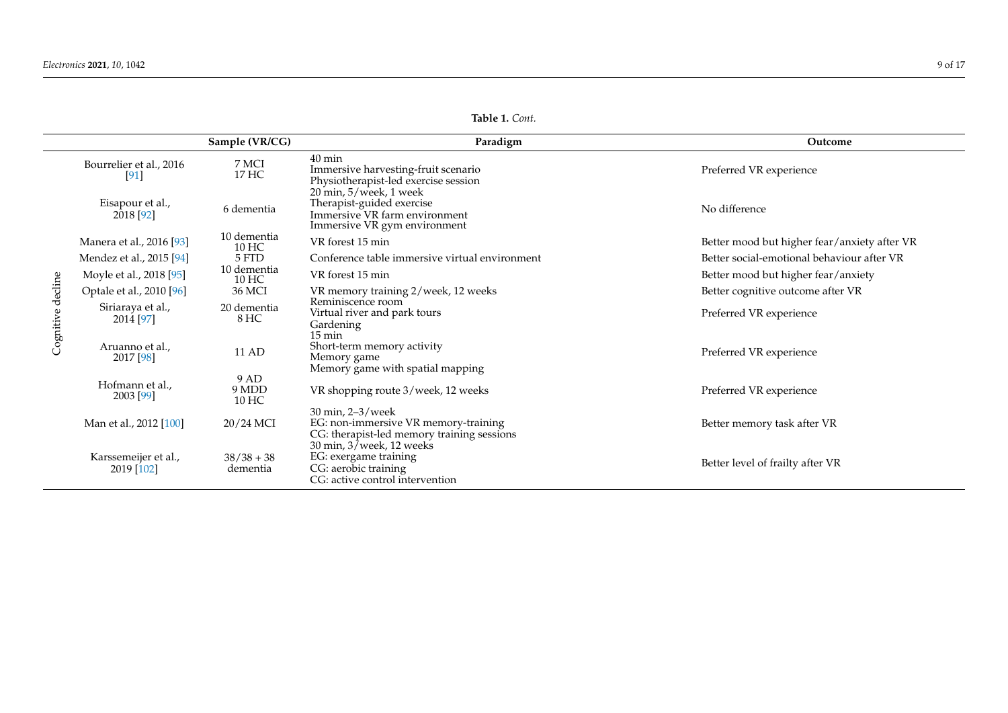| Table 1. Cont.     |                                                                                                                                    |                                |  |
|--------------------|------------------------------------------------------------------------------------------------------------------------------------|--------------------------------|--|
| Sample (VR/CG)     | Paradigm                                                                                                                           | Outcome                        |  |
| 7 MCI<br>17 HC     | $40 \text{ min}$<br>Immersive harvesting-fruit scenario<br>Physiotherapist-led exercise session                                    | Preferred VR experience        |  |
| 6 dementia         | $20 \text{ min}$ , $5$ /week, 1 week<br>Therapist-guided exercise<br>Immersive VR farm environment<br>Immersive VR gym environment | No difference                  |  |
| 10 dementia<br>10I | VR forest 15 min                                                                                                                   | Better mood but higher fear/an |  |

|                   |                                    | $\sigma$ ampic (viv $\sim$ | 1 anaungun                                                                                                                                  | <b>Outcome</b>                               |
|-------------------|------------------------------------|----------------------------|---------------------------------------------------------------------------------------------------------------------------------------------|----------------------------------------------|
| Cognitive decline | Bourrelier et al., 2016<br>[91]    | 7 MCI<br>17 HC             | $40 \text{ min}$<br>Immersive harvesting-fruit scenario<br>Physiotherapist-led exercise session                                             | Preferred VR experience                      |
|                   | Eisapour et al.,<br>2018 [92]      | 6 dementia                 | $20$ min, $5$ /week, 1 week<br>Therapist-guided exercise<br>Immersive VR farm environment<br>Immersive VR gym environment                   | No difference                                |
|                   | Manera et al., 2016 [93]           | 10 dementia<br>10 HC       | VR forest 15 min                                                                                                                            | Better mood but higher fear/anxiety after VR |
|                   | Mendez et al., 2015 [94]           | 5 FTD                      | Conference table immersive virtual environment                                                                                              | Better social-emotional behaviour after VR   |
|                   | Moyle et al., 2018 [95]            | 10 dementia<br>10 HC       | VR forest 15 min                                                                                                                            | Better mood but higher fear/anxiety          |
|                   | Optale et al., 2010 [96]           | 36 MCI                     | VR memory training 2/week, 12 weeks                                                                                                         | Better cognitive outcome after VR            |
|                   | Siriaraya et al.,<br>2014 [97]     | 20 dementia<br>8 HC        | Reminiscence room<br>Virtual river and park tours<br>Gardening<br>$15 \text{ min}$                                                          | Preferred VR experience                      |
|                   | Aruanno et al.,<br>2017 [98]       | 11 AD                      | Short-term memory activity<br>Memory game<br>Memory game with spatial mapping                                                               | Preferred VR experience                      |
|                   | Hofmann et al.,<br>2003 [99]       | 9 AD<br>9 MDD<br>10 HC     | VR shopping route 3/week, 12 weeks                                                                                                          | Preferred VR experience                      |
|                   | Man et al., 2012 [100]             | 20/24 MCI                  | 30 min, 2-3/week<br>EG: non-immersive VR memory-training<br>CG: therapist-led memory training sessions                                      | Better memory task after VR                  |
|                   | Karssemeijer et al.,<br>2019 [102] | $38/38 + 38$<br>dementia   | $30 \text{ min}$ , $3/\text{week}$ , $12 \text{ weeks}$<br>EG: exergame training<br>CG: aerobic training<br>CG: active control intervention | Better level of frailty after VR             |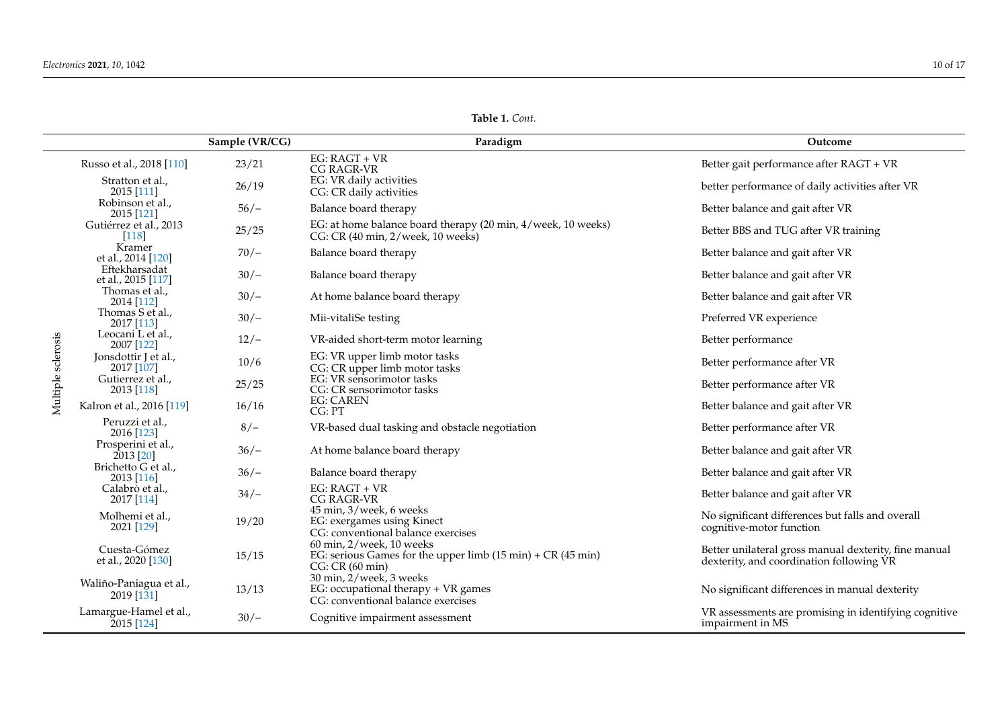| Table 1. Cont. |  |  |
|----------------|--|--|
|----------------|--|--|

|                    |                                       | Sample (VR/CG) | Paradigm                                                                                                                                    | Outcome                                                                                           |
|--------------------|---------------------------------------|----------------|---------------------------------------------------------------------------------------------------------------------------------------------|---------------------------------------------------------------------------------------------------|
|                    | Russo et al., 2018 [110]              | 23/21          | EG: RAGT + VR<br>CG RAGR-VR                                                                                                                 | Better gait performance after RAGT + VR                                                           |
|                    | Stratton et al.,<br>2015 [111]        | 26/19          | EG: VR daily activities<br>CG: CR daily activities                                                                                          | better performance of daily activities after VR                                                   |
|                    | Robinson et al.,<br>2015 [121]        | $56/-$         | Balance board therapy                                                                                                                       | Better balance and gait after VR                                                                  |
|                    | Gutiérrez et al., 2013<br>$[118]$     | 25/25          | EG: at home balance board therapy (20 min, 4/week, 10 weeks)<br>CG: CR (40 min, 2/week, 10 weeks)                                           | Better BBS and TUG after VR training                                                              |
|                    | Kramer<br>et al., 2014 [120]          | $70/-$         | Balance board therapy                                                                                                                       | Better balance and gait after VR                                                                  |
|                    | Eftekharsadat<br>et al., 2015 [117]   | $30/-$         | Balance board therapy                                                                                                                       | Better balance and gait after VR                                                                  |
|                    | Thomas et al.,<br>2014 [112]          | $30/-$         | At home balance board therapy                                                                                                               | Better balance and gait after VR                                                                  |
|                    | Thomas S et al.,<br>2017 [113]        | $30/-$         | Mii-vitaliSe testing                                                                                                                        | Preferred VR experience                                                                           |
|                    | Leocani L et al.,<br>2007 [122]       | $12/-$         | VR-aided short-term motor learning                                                                                                          | Better performance                                                                                |
| Multiple sclerosis | Jonsdottir J et al.,<br>2017 [107]    | 10/6           | EG: VR upper limb motor tasks<br>CG: CR upper limb motor tasks                                                                              | Better performance after VR                                                                       |
|                    | Gutierrez et al.,<br>2013 [118]       | 25/25          | EG: VR sensorimotor tasks<br>CG: CR sensorimotor tasks                                                                                      | Better performance after VR                                                                       |
|                    | Kalron et al., 2016 [119]             | 16/16          | <b>EG: CAREN</b><br>CG: PT                                                                                                                  | Better balance and gait after VR                                                                  |
|                    | Peruzzi et al.,<br>2016 [123]         | $8/-$          | VR-based dual tasking and obstacle negotiation                                                                                              | Better performance after VR                                                                       |
|                    | Prosperini et al.,<br>2013 [20]       | $36/-$         | At home balance board therapy                                                                                                               | Better balance and gait after VR                                                                  |
|                    | Brichetto G et al.,<br>2013 [116]     | $36/-$         | Balance board therapy                                                                                                                       | Better balance and gait after VR                                                                  |
|                    | Calabrò et al.,<br>2017 [114]         | $34/-$         | $EG: RAGT + VR$<br>CG RAGR-VR                                                                                                               | Better balance and gait after VR                                                                  |
|                    | Molhemi et al.,<br>2021 [129]         | 19/20          | 45 min, 3/week, 6 weeks<br>EG: exergames using Kinect<br>CG: conventional balance exercises                                                 | No significant differences but falls and overall<br>cognitive-motor function                      |
|                    | Cuesta-Gómez<br>et al., 2020 [130]    | 15/15          | $60$ min, $2$ /week, $10$ weeks<br>EG: serious Games for the upper limb $(15 \text{ min}) + \text{CR}$ $(45 \text{ min})$<br>CG: CR(60 min) | Better unilateral gross manual dexterity, fine manual<br>dexterity, and coordination following VR |
|                    | Waliño-Paniagua et al.,<br>2019 [131] | 13/13          | 30 min, 2/week, 3 weeks<br>EG: occupational therapy + VR games<br>CG: conventional balance exercises                                        | No significant differences in manual dexterity                                                    |
|                    | Lamargue-Hamel et al.,<br>2015 [124]  | $30/-$         | Cognitive impairment assessment                                                                                                             | VR assessments are promising in identifying cognitive<br>impairment in MS                         |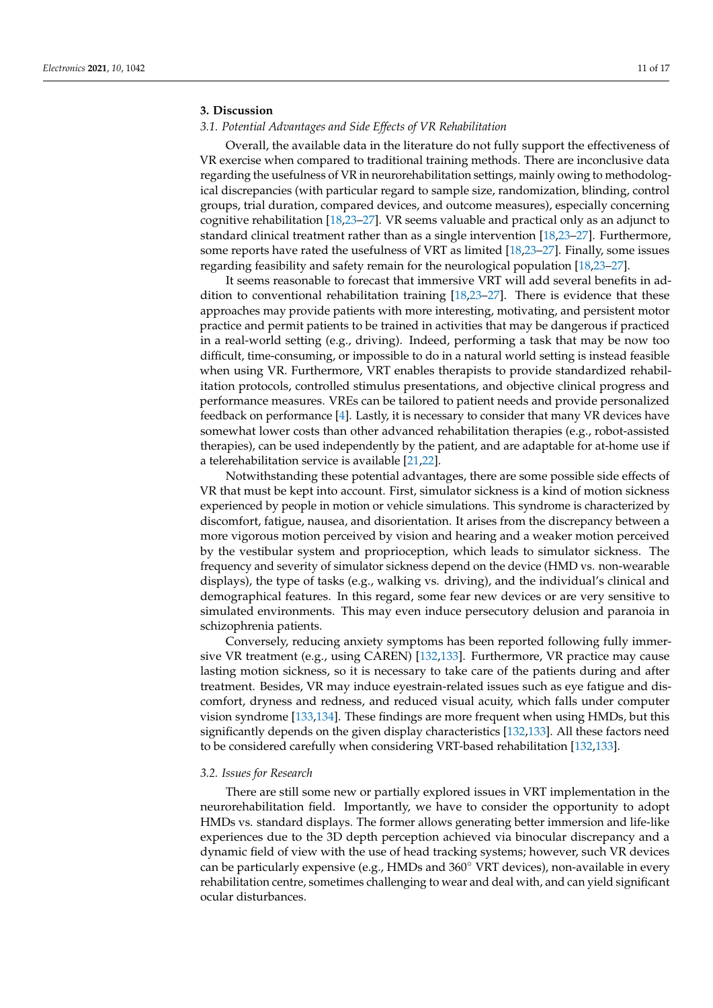# **3. Discussion**

# *3.1. Potential Advantages and Side Effects of VR Rehabilitation*

Overall, the available data in the literature do not fully support the effectiveness of VR exercise when compared to traditional training methods. There are inconclusive data regarding the usefulness of VR in neurorehabilitation settings, mainly owing to methodological discrepancies (with particular regard to sample size, randomization, blinding, control groups, trial duration, compared devices, and outcome measures), especially concerning cognitive rehabilitation [\[18,](#page-12-7)[23](#page-12-13)[–27\]](#page-12-16). VR seems valuable and practical only as an adjunct to standard clinical treatment rather than as a single intervention [\[18](#page-12-7)[,23](#page-12-13)[–27\]](#page-12-16). Furthermore, some reports have rated the usefulness of VRT as limited [\[18,](#page-12-7)[23](#page-12-13)[–27\]](#page-12-16). Finally, some issues regarding feasibility and safety remain for the neurological population [\[18](#page-12-7)[,23–](#page-12-13)[27\]](#page-12-16).

It seems reasonable to forecast that immersive VRT will add several benefits in addition to conventional rehabilitation training [\[18](#page-12-7)[,23](#page-12-13)[–27\]](#page-12-16). There is evidence that these approaches may provide patients with more interesting, motivating, and persistent motor practice and permit patients to be trained in activities that may be dangerous if practiced in a real-world setting (e.g., driving). Indeed, performing a task that may be now too difficult, time-consuming, or impossible to do in a natural world setting is instead feasible when using VR. Furthermore, VRT enables therapists to provide standardized rehabilitation protocols, controlled stimulus presentations, and objective clinical progress and performance measures. VREs can be tailored to patient needs and provide personalized feedback on performance [\[4\]](#page-11-3). Lastly, it is necessary to consider that many VR devices have somewhat lower costs than other advanced rehabilitation therapies (e.g., robot-assisted therapies), can be used independently by the patient, and are adaptable for at-home use if a telerehabilitation service is available [\[21,](#page-12-10)[22\]](#page-12-11).

Notwithstanding these potential advantages, there are some possible side effects of VR that must be kept into account. First, simulator sickness is a kind of motion sickness experienced by people in motion or vehicle simulations. This syndrome is characterized by discomfort, fatigue, nausea, and disorientation. It arises from the discrepancy between a more vigorous motion perceived by vision and hearing and a weaker motion perceived by the vestibular system and proprioception, which leads to simulator sickness. The frequency and severity of simulator sickness depend on the device (HMD vs. non-wearable displays), the type of tasks (e.g., walking vs. driving), and the individual's clinical and demographical features. In this regard, some fear new devices or are very sensitive to simulated environments. This may even induce persecutory delusion and paranoia in schizophrenia patients.

Conversely, reducing anxiety symptoms has been reported following fully immersive VR treatment (e.g., using CAREN) [\[132](#page-16-35)[,133\]](#page-16-36). Furthermore, VR practice may cause lasting motion sickness, so it is necessary to take care of the patients during and after treatment. Besides, VR may induce eyestrain-related issues such as eye fatigue and discomfort, dryness and redness, and reduced visual acuity, which falls under computer vision syndrome [\[133,](#page-16-36)[134\]](#page-16-37). These findings are more frequent when using HMDs, but this significantly depends on the given display characteristics [\[132,](#page-16-35)[133\]](#page-16-36). All these factors need to be considered carefully when considering VRT-based rehabilitation [\[132](#page-16-35)[,133\]](#page-16-36).

## *3.2. Issues for Research*

There are still some new or partially explored issues in VRT implementation in the neurorehabilitation field. Importantly, we have to consider the opportunity to adopt HMDs vs. standard displays. The former allows generating better immersion and life-like experiences due to the 3D depth perception achieved via binocular discrepancy and a dynamic field of view with the use of head tracking systems; however, such VR devices can be particularly expensive (e.g., HMDs and 360◦ VRT devices), non-available in every rehabilitation centre, sometimes challenging to wear and deal with, and can yield significant ocular disturbances.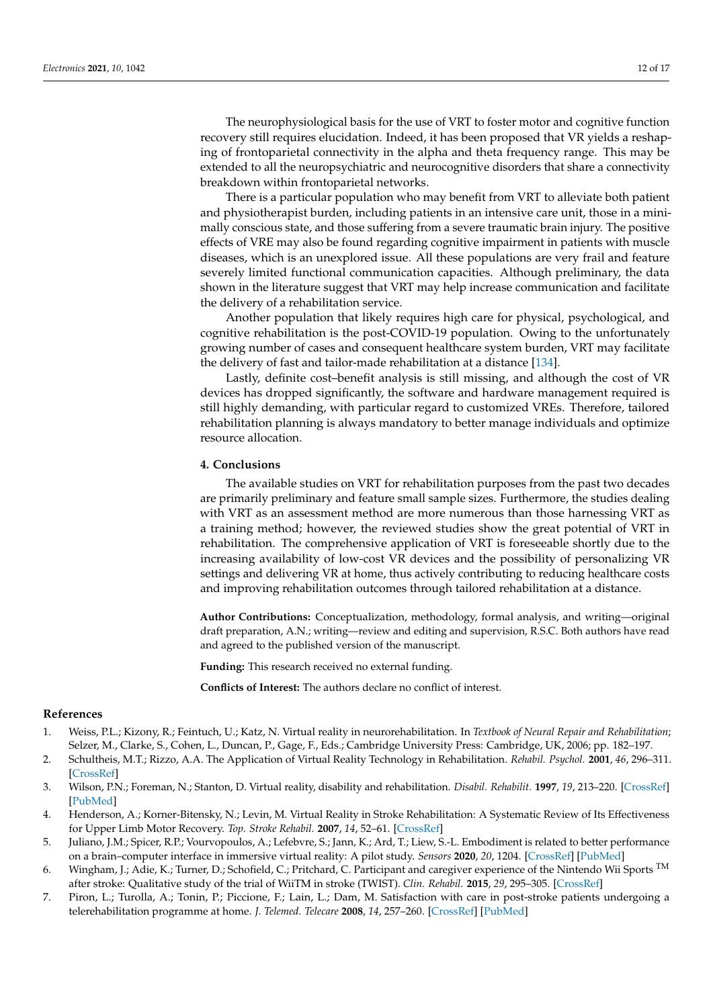The neurophysiological basis for the use of VRT to foster motor and cognitive function recovery still requires elucidation. Indeed, it has been proposed that VR yields a reshaping of frontoparietal connectivity in the alpha and theta frequency range. This may be extended to all the neuropsychiatric and neurocognitive disorders that share a connectivity breakdown within frontoparietal networks.

There is a particular population who may benefit from VRT to alleviate both patient and physiotherapist burden, including patients in an intensive care unit, those in a minimally conscious state, and those suffering from a severe traumatic brain injury. The positive effects of VRE may also be found regarding cognitive impairment in patients with muscle diseases, which is an unexplored issue. All these populations are very frail and feature severely limited functional communication capacities. Although preliminary, the data shown in the literature suggest that VRT may help increase communication and facilitate the delivery of a rehabilitation service.

Another population that likely requires high care for physical, psychological, and cognitive rehabilitation is the post-COVID-19 population. Owing to the unfortunately growing number of cases and consequent healthcare system burden, VRT may facilitate the delivery of fast and tailor-made rehabilitation at a distance [\[134\]](#page-16-37).

Lastly, definite cost–benefit analysis is still missing, and although the cost of VR devices has dropped significantly, the software and hardware management required is still highly demanding, with particular regard to customized VREs. Therefore, tailored rehabilitation planning is always mandatory to better manage individuals and optimize resource allocation.

# **4. Conclusions**

The available studies on VRT for rehabilitation purposes from the past two decades are primarily preliminary and feature small sample sizes. Furthermore, the studies dealing with VRT as an assessment method are more numerous than those harnessing VRT as a training method; however, the reviewed studies show the great potential of VRT in rehabilitation. The comprehensive application of VRT is foreseeable shortly due to the increasing availability of low-cost VR devices and the possibility of personalizing VR settings and delivering VR at home, thus actively contributing to reducing healthcare costs and improving rehabilitation outcomes through tailored rehabilitation at a distance.

**Author Contributions:** Conceptualization, methodology, formal analysis, and writing—original draft preparation, A.N.; writing—review and editing and supervision, R.S.C. Both authors have read and agreed to the published version of the manuscript.

**Funding:** This research received no external funding.

**Conflicts of Interest:** The authors declare no conflict of interest.

#### **References**

- <span id="page-11-0"></span>1. Weiss, P.L.; Kizony, R.; Feintuch, U.; Katz, N. Virtual reality in neurorehabilitation. In *Textbook of Neural Repair and Rehabilitation*; Selzer, M., Clarke, S., Cohen, L., Duncan, P., Gage, F., Eds.; Cambridge University Press: Cambridge, UK, 2006; pp. 182–197.
- <span id="page-11-1"></span>2. Schultheis, M.T.; Rizzo, A.A. The Application of Virtual Reality Technology in Rehabilitation. *Rehabil. Psychol.* **2001**, *46*, 296–311. [\[CrossRef\]](http://doi.org/10.1037/0090-5550.46.3.296)
- <span id="page-11-2"></span>3. Wilson, P.N.; Foreman, N.; Stanton, D. Virtual reality, disability and rehabilitation. *Disabil. Rehabilit.* **1997**, *19*, 213–220. [\[CrossRef\]](http://doi.org/10.3109/09638289709166530) [\[PubMed\]](http://www.ncbi.nlm.nih.gov/pubmed/9195138)
- <span id="page-11-3"></span>4. Henderson, A.; Korner-Bitensky, N.; Levin, M. Virtual Reality in Stroke Rehabilitation: A Systematic Review of Its Effectiveness for Upper Limb Motor Recovery. *Top. Stroke Rehabil.* **2007**, *14*, 52–61. [\[CrossRef\]](http://doi.org/10.1310/tsr1402-52)
- <span id="page-11-4"></span>5. Juliano, J.M.; Spicer, R.P.; Vourvopoulos, A.; Lefebvre, S.; Jann, K.; Ard, T.; Liew, S.-L. Embodiment is related to better performance on a brain–computer interface in immersive virtual reality: A pilot study. *Sensors* **2020**, *20*, 1204. [\[CrossRef\]](http://doi.org/10.3390/s20041204) [\[PubMed\]](http://www.ncbi.nlm.nih.gov/pubmed/32098317)
- <span id="page-11-5"></span>6. Wingham, J.; Adie, K.; Turner, D.; Schofield, C.; Pritchard, C. Participant and caregiver experience of the Nintendo Wii Sports <sup>TM</sup> after stroke: Qualitative study of the trial of WiiTM in stroke (TWIST). *Clin. Rehabil.* **2015**, *29*, 295–305. [\[CrossRef\]](http://doi.org/10.1177/0269215514542638)
- 7. Piron, L.; Turolla, A.; Tonin, P.; Piccione, F.; Lain, L.; Dam, M. Satisfaction with care in post-stroke patients undergoing a telerehabilitation programme at home. *J. Telemed. Telecare* **2008**, *14*, 257–260. [\[CrossRef\]](http://doi.org/10.1258/jtt.2008.080304) [\[PubMed\]](http://www.ncbi.nlm.nih.gov/pubmed/18633001)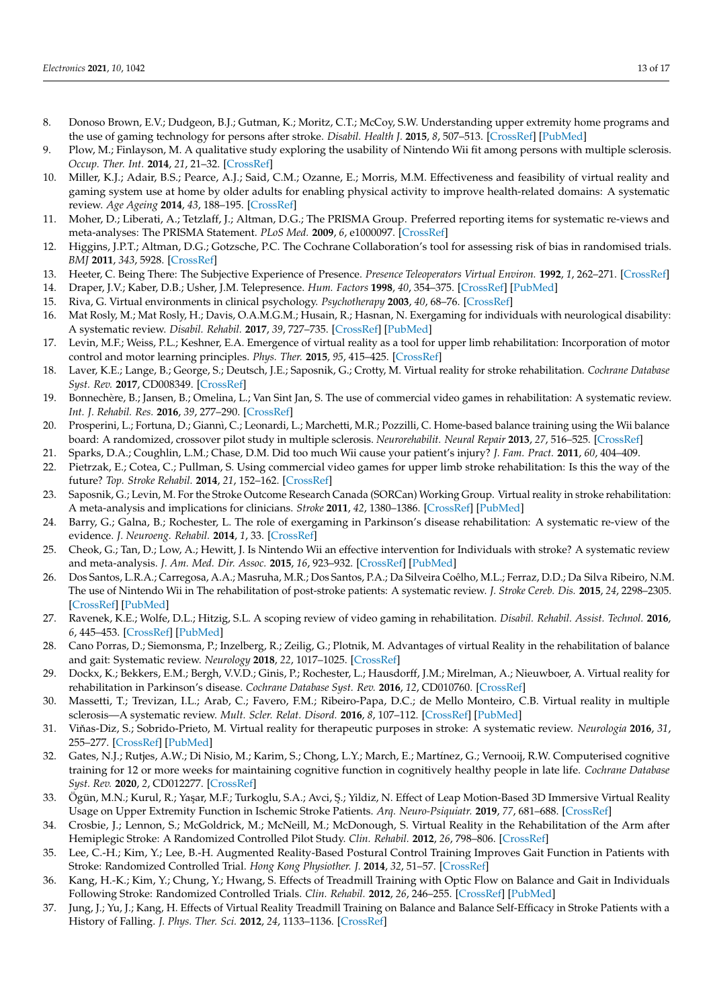- <span id="page-12-32"></span>8. Donoso Brown, E.V.; Dudgeon, B.J.; Gutman, K.; Moritz, C.T.; McCoy, S.W. Understanding upper extremity home programs and the use of gaming technology for persons after stroke. *Disabil. Health J.* **2015**, *8*, 507–513. [\[CrossRef\]](http://doi.org/10.1016/j.dhjo.2015.03.007) [\[PubMed\]](http://www.ncbi.nlm.nih.gov/pubmed/25953349)
- 9. Plow, M.; Finlayson, M. A qualitative study exploring the usability of Nintendo Wii fit among persons with multiple sclerosis. *Occup. Ther. Int.* **2014**, *21*, 21–32. [\[CrossRef\]](http://doi.org/10.1002/oti.1345)
- <span id="page-12-0"></span>10. Miller, K.J.; Adair, B.S.; Pearce, A.J.; Said, C.M.; Ozanne, E.; Morris, M.M. Effectiveness and feasibility of virtual reality and gaming system use at home by older adults for enabling physical activity to improve health-related domains: A systematic review. *Age Ageing* **2014**, *43*, 188–195. [\[CrossRef\]](http://doi.org/10.1093/ageing/aft194)
- <span id="page-12-1"></span>11. Moher, D.; Liberati, A.; Tetzlaff, J.; Altman, D.G.; The PRISMA Group. Preferred reporting items for systematic re-views and meta-analyses: The PRISMA Statement. *PLoS Med.* **2009**, *6*, e1000097. [\[CrossRef\]](http://doi.org/10.1371/journal.pmed.1000097)
- <span id="page-12-2"></span>12. Higgins, J.P.T.; Altman, D.G.; Gotzsche, P.C. The Cochrane Collaboration's tool for assessing risk of bias in randomised trials. *BMJ* **2011**, *343*, 5928. [\[CrossRef\]](http://doi.org/10.1136/bmj.d5928)
- <span id="page-12-3"></span>13. Heeter, C. Being There: The Subjective Experience of Presence. *Presence Teleoperators Virtual Environ.* **1992**, *1*, 262–271. [\[CrossRef\]](http://doi.org/10.1162/pres.1992.1.2.262)
- <span id="page-12-4"></span>14. Draper, J.V.; Kaber, D.B.; Usher, J.M. Telepresence. *Hum. Factors* **1998**, *40*, 354–375. [\[CrossRef\]](http://doi.org/10.1518/001872098779591386) [\[PubMed\]](http://www.ncbi.nlm.nih.gov/pubmed/9849099)
- <span id="page-12-5"></span>15. Riva, G. Virtual environments in clinical psychology. *Psychotherapy* **2003**, *40*, 68–76. [\[CrossRef\]](http://doi.org/10.1037/0033-3204.40.1-2.68)
- 16. Mat Rosly, M.; Mat Rosly, H.; Davis, O.A.M.G.M.; Husain, R.; Hasnan, N. Exergaming for individuals with neurological disability: A systematic review. *Disabil. Rehabil.* **2017**, *39*, 727–735. [\[CrossRef\]](http://doi.org/10.3109/09638288.2016.1161086) [\[PubMed\]](http://www.ncbi.nlm.nih.gov/pubmed/27108475)
- <span id="page-12-6"></span>17. Levin, M.F.; Weiss, P.L.; Keshner, E.A. Emergence of virtual reality as a tool for upper limb rehabilitation: Incorporation of motor control and motor learning principles. *Phys. Ther.* **2015**, *95*, 415–425. [\[CrossRef\]](http://doi.org/10.2522/ptj.20130579)
- <span id="page-12-7"></span>18. Laver, K.E.; Lange, B.; George, S.; Deutsch, J.E.; Saposnik, G.; Crotty, M. Virtual reality for stroke rehabilitation. *Cochrane Database Syst. Rev.* **2017**, CD008349. [\[CrossRef\]](http://doi.org/10.1002/14651858.CD008349.pub4)
- <span id="page-12-8"></span>19. Bonnechère, B.; Jansen, B.; Omelina, L.; Van Sint Jan, S. The use of commercial video games in rehabilitation: A systematic review. *Int. J. Rehabil. Res.* **2016**, *39*, 277–290. [\[CrossRef\]](http://doi.org/10.1097/MRR.0000000000000190)
- <span id="page-12-9"></span>20. Prosperini, L.; Fortuna, D.; Giannì, C.; Leonardi, L.; Marchetti, M.R.; Pozzilli, C. Home-based balance training using the Wii balance board: A randomized, crossover pilot study in multiple sclerosis. *Neurorehabilit. Neural Repair* **2013**, *27*, 516–525. [\[CrossRef\]](http://doi.org/10.1177/1545968313478484)
- <span id="page-12-10"></span>21. Sparks, D.A.; Coughlin, L.M.; Chase, D.M. Did too much Wii cause your patient's injury? *J. Fam. Pract.* **2011**, *60*, 404–409.
- <span id="page-12-11"></span>22. Pietrzak, E.; Cotea, C.; Pullman, S. Using commercial video games for upper limb stroke rehabilitation: Is this the way of the future? *Top. Stroke Rehabil.* **2014**, *21*, 152–162. [\[CrossRef\]](http://doi.org/10.1310/tsr2102-152)
- <span id="page-12-31"></span><span id="page-12-13"></span>23. Saposnik, G.; Levin, M. For the Stroke Outcome Research Canada (SORCan) Working Group. Virtual reality in stroke rehabilitation: A meta-analysis and implications for clinicians. *Stroke* **2011**, *42*, 1380–1386. [\[CrossRef\]](http://doi.org/10.1161/STROKEAHA.110.605451) [\[PubMed\]](http://www.ncbi.nlm.nih.gov/pubmed/21474804)
- <span id="page-12-30"></span><span id="page-12-15"></span>24. Barry, G.; Galna, B.; Rochester, L. The role of exergaming in Parkinson's disease rehabilitation: A systematic re-view of the evidence. *J. Neuroeng. Rehabil.* **2014**, *1*, 33. [\[CrossRef\]](http://doi.org/10.1186/1743-0003-11-33)
- <span id="page-12-28"></span><span id="page-12-14"></span>25. Cheok, G.; Tan, D.; Low, A.; Hewitt, J. Is Nintendo Wii an effective intervention for Individuals with stroke? A systematic review and meta-analysis. *J. Am. Med. Dir. Assoc.* **2015**, *16*, 923–932. [\[CrossRef\]](http://doi.org/10.1016/j.jamda.2015.06.010) [\[PubMed\]](http://www.ncbi.nlm.nih.gov/pubmed/26253322)
- <span id="page-12-27"></span><span id="page-12-12"></span>26. Dos Santos, L.R.A.; Carregosa, A.A.; Masruha, M.R.; Dos Santos, P.A.; Da Silveira Coêlho, M.L.; Ferraz, D.D.; Da Silva Ribeiro, N.M. The use of Nintendo Wii in The rehabilitation of post-stroke patients: A systematic review. *J. Stroke Cereb. Dis.* **2015**, *24*, 2298–2305. [\[CrossRef\]](http://doi.org/10.1016/j.jstrokecerebrovasdis.2015.06.010) [\[PubMed\]](http://www.ncbi.nlm.nih.gov/pubmed/26303792)
- <span id="page-12-29"></span><span id="page-12-16"></span>27. Ravenek, K.E.; Wolfe, D.L.; Hitzig, S.L. A scoping review of video gaming in rehabilitation. *Disabil. Rehabil. Assist. Technol.* **2016**, *6*, 445–453. [\[CrossRef\]](http://doi.org/10.3109/17483107.2015.1029538) [\[PubMed\]](http://www.ncbi.nlm.nih.gov/pubmed/25815680)
- <span id="page-12-17"></span>28. Cano Porras, D.; Siemonsma, P.; Inzelberg, R.; Zeilig, G.; Plotnik, M. Advantages of virtual Reality in the rehabilitation of balance and gait: Systematic review. *Neurology* **2018**, *22*, 1017–1025. [\[CrossRef\]](http://doi.org/10.1212/WNL.0000000000005603)
- <span id="page-12-18"></span>29. Dockx, K.; Bekkers, E.M.; Bergh, V.V.D.; Ginis, P.; Rochester, L.; Hausdorff, J.M.; Mirelman, A.; Nieuwboer, A. Virtual reality for rehabilitation in Parkinson's disease. *Cochrane Database Syst. Rev.* **2016**, *12*, CD010760. [\[CrossRef\]](http://doi.org/10.1002/14651858.CD010760.pub2)
- <span id="page-12-19"></span>30. Massetti, T.; Trevizan, I.L.; Arab, C.; Favero, F.M.; Ribeiro-Papa, D.C.; de Mello Monteiro, C.B. Virtual reality in multiple sclerosis—A systematic review. *Mult. Scler. Relat. Disord.* **2016**, *8*, 107–112. [\[CrossRef\]](http://doi.org/10.1016/j.msard.2016.05.014) [\[PubMed\]](http://www.ncbi.nlm.nih.gov/pubmed/27456884)
- <span id="page-12-20"></span>31. Viňas-Diz, S.; Sobrido-Prieto, M. Virtual reality for therapeutic purposes in stroke: A systematic review. *Neurologia* 2016, 31, 255–277. [\[CrossRef\]](http://doi.org/10.1016/j.nrleng.2015.06.007) [\[PubMed\]](http://www.ncbi.nlm.nih.gov/pubmed/26321468)
- <span id="page-12-21"></span>32. Gates, N.J.; Rutjes, A.W.; Di Nisio, M.; Karim, S.; Chong, L.Y.; March, E.; Martínez, G.; Vernooij, R.W. Computerised cognitive training for 12 or more weeks for maintaining cognitive function in cognitively healthy people in late life. *Cochrane Database Syst. Rev.* **2020**, *2*, CD012277. [\[CrossRef\]](http://doi.org/10.1002/14651858.CD012277.pub3)
- <span id="page-12-22"></span>33. Ögün, M.N.; Kurul, R.; Yaşar, M.F.; Turkoglu, S.A.; Avci, Ş.; Yildiz, N. Effect of Leap Motion-Based 3D Immersive Virtual Reality Usage on Upper Extremity Function in Ischemic Stroke Patients. *Arq. Neuro-Psiquiatr.* **2019**, *77*, 681–688. [\[CrossRef\]](http://doi.org/10.1590/0004-282x20190129)
- <span id="page-12-23"></span>34. Crosbie, J.; Lennon, S.; McGoldrick, M.; McNeill, M.; McDonough, S. Virtual Reality in the Rehabilitation of the Arm after Hemiplegic Stroke: A Randomized Controlled Pilot Study. *Clin. Rehabil.* **2012**, *26*, 798–806. [\[CrossRef\]](http://doi.org/10.1177/0269215511434575)
- <span id="page-12-24"></span>35. Lee, C.-H.; Kim, Y.; Lee, B.-H. Augmented Reality-Based Postural Control Training Improves Gait Function in Patients with Stroke: Randomized Controlled Trial. *Hong Kong Physiother. J.* **2014**, *32*, 51–57. [\[CrossRef\]](http://doi.org/10.1016/j.hkpj.2014.04.002)
- <span id="page-12-25"></span>36. Kang, H.-K.; Kim, Y.; Chung, Y.; Hwang, S. Effects of Treadmill Training with Optic Flow on Balance and Gait in Individuals Following Stroke: Randomized Controlled Trials. *Clin. Rehabil.* **2012**, *26*, 246–255. [\[CrossRef\]](http://doi.org/10.1177/0269215511419383) [\[PubMed\]](http://www.ncbi.nlm.nih.gov/pubmed/21971754)
- <span id="page-12-26"></span>37. Jung, J.; Yu, J.; Kang, H. Effects of Virtual Reality Treadmill Training on Balance and Balance Self-Efficacy in Stroke Patients with a History of Falling. *J. Phys. Ther. Sci.* **2012**, *24*, 1133–1136. [\[CrossRef\]](http://doi.org/10.1589/jpts.24.1133)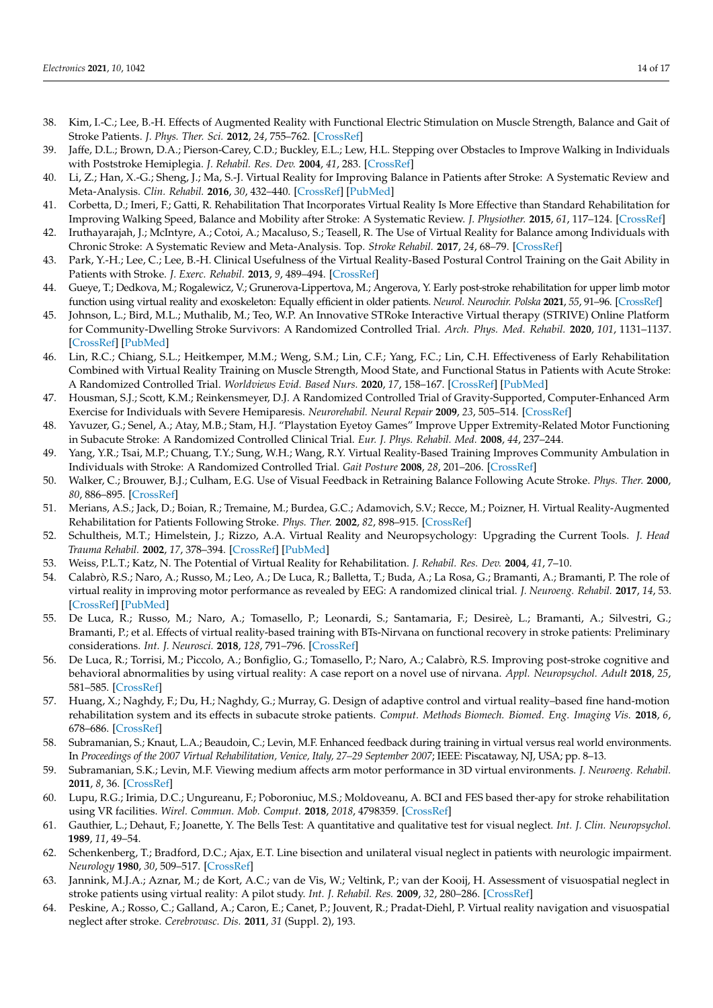- <span id="page-13-20"></span><span id="page-13-19"></span><span id="page-13-18"></span><span id="page-13-17"></span><span id="page-13-16"></span><span id="page-13-15"></span><span id="page-13-1"></span>38. Kim, I.-C.; Lee, B.-H. Effects of Augmented Reality with Functional Electric Stimulation on Muscle Strength, Balance and Gait of Stroke Patients. *J. Phys. Ther. Sci.* **2012**, *24*, 755–762. [\[CrossRef\]](http://doi.org/10.1589/jpts.24.755)
- <span id="page-13-0"></span>39. Jaffe, D.L.; Brown, D.A.; Pierson-Carey, C.D.; Buckley, E.L.; Lew, H.L. Stepping over Obstacles to Improve Walking in Individuals with Poststroke Hemiplegia. *J. Rehabil. Res. Dev.* **2004**, *41*, 283. [\[CrossRef\]](http://doi.org/10.1682/JRRD.2004.03.0283)
- <span id="page-13-2"></span>40. Li, Z.; Han, X.-G.; Sheng, J.; Ma, S.-J. Virtual Reality for Improving Balance in Patients after Stroke: A Systematic Review and Meta-Analysis. *Clin. Rehabil.* **2016**, *30*, 432–440. [\[CrossRef\]](http://doi.org/10.1177/0269215515593611) [\[PubMed\]](http://www.ncbi.nlm.nih.gov/pubmed/26141808)
- 41. Corbetta, D.; Imeri, F.; Gatti, R. Rehabilitation That Incorporates Virtual Reality Is More Effective than Standard Rehabilitation for Improving Walking Speed, Balance and Mobility after Stroke: A Systematic Review. *J. Physiother.* **2015**, *61*, 117–124. [\[CrossRef\]](http://doi.org/10.1016/j.jphys.2015.05.017)
- <span id="page-13-3"></span>42. Iruthayarajah, J.; McIntyre, A.; Cotoi, A.; Macaluso, S.; Teasell, R. The Use of Virtual Reality for Balance among Individuals with Chronic Stroke: A Systematic Review and Meta-Analysis. Top. *Stroke Rehabil.* **2017**, *24*, 68–79. [\[CrossRef\]](http://doi.org/10.1080/10749357.2016.1192361)
- <span id="page-13-4"></span>43. Park, Y.-H.; Lee, C.; Lee, B.-H. Clinical Usefulness of the Virtual Reality-Based Postural Control Training on the Gait Ability in Patients with Stroke. *J. Exerc. Rehabil.* **2013**, *9*, 489–494. [\[CrossRef\]](http://doi.org/10.12965/jer.130066)
- <span id="page-13-5"></span>44. Gueye, T.; Dedkova, M.; Rogalewicz, V.; Grunerova-Lippertova, M.; Angerova, Y. Early post-stroke rehabilitation for upper limb motor function using virtual reality and exoskeleton: Equally efficient in older patients. *Neurol. Neurochir. Polska* **2021**, *55*, 91–96. [\[CrossRef\]](http://doi.org/10.5603/PJNNS.a2020.0096)
- <span id="page-13-6"></span>45. Johnson, L.; Bird, M.L.; Muthalib, M.; Teo, W.P. An Innovative STRoke Interactive Virtual therapy (STRIVE) Online Platform for Community-Dwelling Stroke Survivors: A Randomized Controlled Trial. *Arch. Phys. Med. Rehabil.* **2020**, *101*, 1131–1137. [\[CrossRef\]](http://doi.org/10.1016/j.apmr.2020.03.011) [\[PubMed\]](http://www.ncbi.nlm.nih.gov/pubmed/32283048)
- <span id="page-13-7"></span>46. Lin, R.C.; Chiang, S.L.; Heitkemper, M.M.; Weng, S.M.; Lin, C.F.; Yang, F.C.; Lin, C.H. Effectiveness of Early Rehabilitation Combined with Virtual Reality Training on Muscle Strength, Mood State, and Functional Status in Patients with Acute Stroke: A Randomized Controlled Trial. *Worldviews Evid. Based Nurs.* **2020**, *17*, 158–167. [\[CrossRef\]](http://doi.org/10.1111/wvn.12429) [\[PubMed\]](http://www.ncbi.nlm.nih.gov/pubmed/32212254)
- <span id="page-13-8"></span>47. Housman, S.J.; Scott, K.M.; Reinkensmeyer, D.J. A Randomized Controlled Trial of Gravity-Supported, Computer-Enhanced Arm Exercise for Individuals with Severe Hemiparesis. *Neurorehabil. Neural Repair* **2009**, *23*, 505–514. [\[CrossRef\]](http://doi.org/10.1177/1545968308331148)
- 48. Yavuzer, G.; Senel, A.; Atay, M.B.; Stam, H.J. "Playstation Eyetoy Games" Improve Upper Extremity-Related Motor Functioning in Subacute Stroke: A Randomized Controlled Clinical Trial. *Eur. J. Phys. Rehabil. Med.* **2008**, *44*, 237–244.
- 49. Yang, Y.R.; Tsai, M.P.; Chuang, T.Y.; Sung, W.H.; Wang, R.Y. Virtual Reality-Based Training Improves Community Ambulation in Individuals with Stroke: A Randomized Controlled Trial. *Gait Posture* **2008**, *28*, 201–206. [\[CrossRef\]](http://doi.org/10.1016/j.gaitpost.2007.11.007)
- 50. Walker, C.; Brouwer, B.J.; Culham, E.G. Use of Visual Feedback in Retraining Balance Following Acute Stroke. *Phys. Ther.* **2000**, *80*, 886–895. [\[CrossRef\]](http://doi.org/10.1093/ptj/80.9.886)
- 51. Merians, A.S.; Jack, D.; Boian, R.; Tremaine, M.; Burdea, G.C.; Adamovich, S.V.; Recce, M.; Poizner, H. Virtual Reality-Augmented Rehabilitation for Patients Following Stroke. *Phys. Ther.* **2002**, *82*, 898–915. [\[CrossRef\]](http://doi.org/10.1093/ptj/82.9.898)
- 52. Schultheis, M.T.; Himelstein, J.; Rizzo, A.A. Virtual Reality and Neuropsychology: Upgrading the Current Tools. *J. Head Trauma Rehabil.* **2002**, *17*, 378–394. [\[CrossRef\]](http://doi.org/10.1097/00001199-200210000-00002) [\[PubMed\]](http://www.ncbi.nlm.nih.gov/pubmed/12802250)
- 53. Weiss, P.L.T.; Katz, N. The Potential of Virtual Reality for Rehabilitation. *J. Rehabil. Res. Dev.* **2004**, *41*, 7–10.
- <span id="page-13-14"></span>54. Calabrò, R.S.; Naro, A.; Russo, M.; Leo, A.; De Luca, R.; Balletta, T.; Buda, A.; La Rosa, G.; Bramanti, A.; Bramanti, P. The role of virtual reality in improving motor performance as revealed by EEG: A randomized clinical trial. *J. Neuroeng. Rehabil.* **2017**, *14*, 53. [\[CrossRef\]](http://doi.org/10.1186/s12984-017-0268-4) [\[PubMed\]](http://www.ncbi.nlm.nih.gov/pubmed/28592282)
- 55. De Luca, R.; Russo, M.; Naro, A.; Tomasello, P.; Leonardi, S.; Santamaria, F.; Desireè, L.; Bramanti, A.; Silvestri, G.; Bramanti, P.; et al. Effects of virtual reality-based training with BTs-Nirvana on functional recovery in stroke patients: Preliminary considerations. *Int. J. Neurosci.* **2018**, *128*, 791–796. [\[CrossRef\]](http://doi.org/10.1080/00207454.2017.1403915)
- <span id="page-13-9"></span>56. De Luca, R.; Torrisi, M.; Piccolo, A.; Bonfiglio, G.; Tomasello, P.; Naro, A.; Calabrò, R.S. Improving post-stroke cognitive and behavioral abnormalities by using virtual reality: A case report on a novel use of nirvana. *Appl. Neuropsychol. Adult* **2018**, *25*, 581–585. [\[CrossRef\]](http://doi.org/10.1080/23279095.2017.1338571)
- <span id="page-13-10"></span>57. Huang, X.; Naghdy, F.; Du, H.; Naghdy, G.; Murray, G. Design of adaptive control and virtual reality–based fine hand-motion rehabilitation system and its effects in subacute stroke patients. *Comput. Methods Biomech. Biomed. Eng. Imaging Vis.* **2018**, *6*, 678–686. [\[CrossRef\]](http://doi.org/10.1080/21681163.2017.1343687)
- 58. Subramanian, S.; Knaut, L.A.; Beaudoin, C.; Levin, M.F. Enhanced feedback during training in virtual versus real world environments. In *Proceedings of the 2007 Virtual Rehabilitation, Venice, Italy, 27–29 September 2007*; IEEE: Piscataway, NJ, USA; pp. 8–13.
- 59. Subramanian, S.K.; Levin, M.F. Viewing medium affects arm motor performance in 3D virtual environments. *J. Neuroeng. Rehabil.* **2011**, *8*, 36. [\[CrossRef\]](http://doi.org/10.1186/1743-0003-8-36)
- <span id="page-13-11"></span>60. Lupu, R.G.; Irimia, D.C.; Ungureanu, F.; Poboroniuc, M.S.; Moldoveanu, A. BCI and FES based ther-apy for stroke rehabilitation using VR facilities. *Wirel. Commun. Mob. Comput.* **2018**, *2018*, 4798359. [\[CrossRef\]](http://doi.org/10.1155/2018/4798359)
- <span id="page-13-12"></span>61. Gauthier, L.; Dehaut, F.; Joanette, Y. The Bells Test: A quantitative and qualitative test for visual neglect. *Int. J. Clin. Neuropsychol.* **1989**, *11*, 49–54.
- 62. Schenkenberg, T.; Bradford, D.C.; Ajax, E.T. Line bisection and unilateral visual neglect in patients with neurologic impairment. *Neurology* **1980**, *30*, 509–517. [\[CrossRef\]](http://doi.org/10.1212/WNL.30.5.509)
- 63. Jannink, M.J.A.; Aznar, M.; de Kort, A.C.; van de Vis, W.; Veltink, P.; van der Kooij, H. Assessment of visuospatial neglect in stroke patients using virtual reality: A pilot study. *Int. J. Rehabil. Res.* **2009**, *32*, 280–286. [\[CrossRef\]](http://doi.org/10.1097/MRR.0b013e3283013b1c)
- <span id="page-13-13"></span>64. Peskine, A.; Rosso, C.; Galland, A.; Caron, E.; Canet, P.; Jouvent, R.; Pradat-Diehl, P. Virtual reality navigation and visuospatial neglect after stroke. *Cerebrovasc. Dis.* **2011**, *31* (Suppl. 2), 193.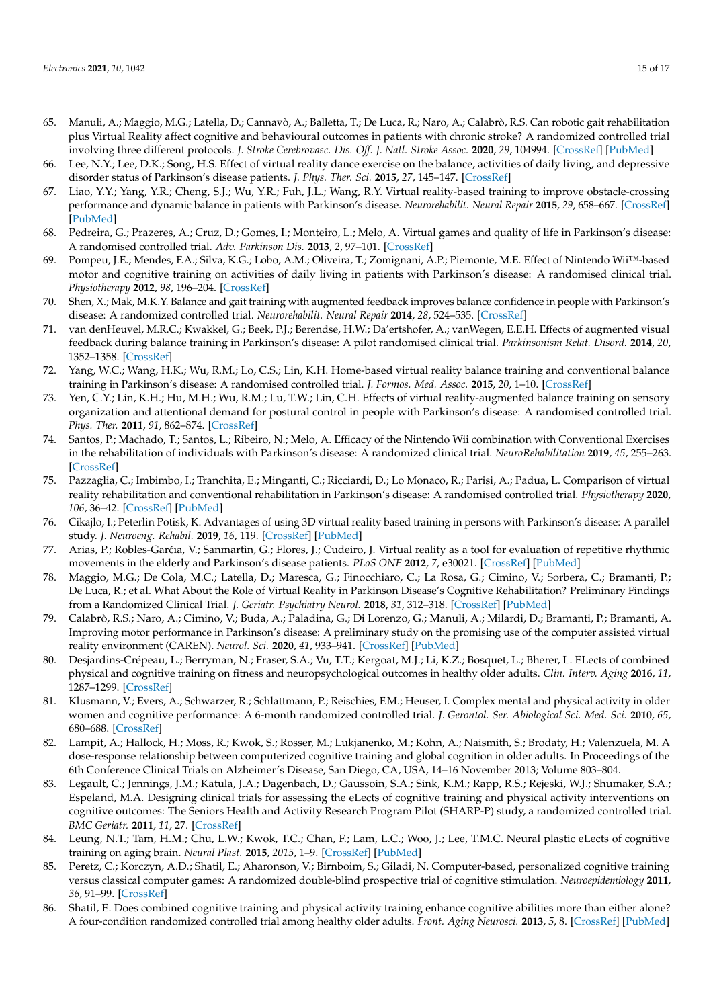- <span id="page-14-26"></span><span id="page-14-23"></span><span id="page-14-22"></span><span id="page-14-21"></span><span id="page-14-20"></span><span id="page-14-19"></span><span id="page-14-18"></span><span id="page-14-17"></span><span id="page-14-16"></span><span id="page-14-0"></span>65. Manuli, A.; Maggio, M.G.; Latella, D.; Cannavò, A.; Balletta, T.; De Luca, R.; Naro, A.; Calabrò, R.S. Can robotic gait rehabilitation plus Virtual Reality affect cognitive and behavioural outcomes in patients with chronic stroke? A randomized controlled trial involving three different protocols. *J. Stroke Cerebrovasc. Dis. Off. J. Natl. Stroke Assoc.* **2020**, *29*, 104994. [\[CrossRef\]](http://doi.org/10.1016/j.jstrokecerebrovasdis.2020.104994) [\[PubMed\]](http://www.ncbi.nlm.nih.gov/pubmed/32689601)
- <span id="page-14-1"></span>66. Lee, N.Y.; Lee, D.K.; Song, H.S. Effect of virtual reality dance exercise on the balance, activities of daily living, and depressive disorder status of Parkinson's disease patients. *J. Phys. Ther. Sci.* **2015**, *27*, 145–147. [\[CrossRef\]](http://doi.org/10.1589/jpts.27.145)
- <span id="page-14-24"></span><span id="page-14-9"></span>67. Liao, Y.Y.; Yang, Y.R.; Cheng, S.J.; Wu, Y.R.; Fuh, J.L.; Wang, R.Y. Virtual reality-based training to improve obstacle-crossing performance and dynamic balance in patients with Parkinson's disease. *Neurorehabilit. Neural Repair* **2015**, *29*, 658–667. [\[CrossRef\]](http://doi.org/10.1177/1545968314562111) [\[PubMed\]](http://www.ncbi.nlm.nih.gov/pubmed/25539782)
- <span id="page-14-25"></span><span id="page-14-10"></span>68. Pedreira, G.; Prazeres, A.; Cruz, D.; Gomes, I.; Monteiro, L.; Melo, A. Virtual games and quality of life in Parkinson's disease: A randomised controlled trial. *Adv. Parkinson Dis.* **2013**, *2*, 97–101. [\[CrossRef\]](http://doi.org/10.4236/apd.2013.24018)
- <span id="page-14-8"></span>69. Pompeu, J.E.; Mendes, F.A.; Silva, K.G.; Lobo, A.M.; Oliveira, T.; Zomignani, A.P.; Piemonte, M.E. Effect of Nintendo Wii™-based motor and cognitive training on activities of daily living in patients with Parkinson's disease: A randomised clinical trial. *Physiotherapy* **2012**, *98*, 196–204. [\[CrossRef\]](http://doi.org/10.1016/j.physio.2012.06.004)
- <span id="page-14-11"></span>70. Shen, X.; Mak, M.K.Y. Balance and gait training with augmented feedback improves balance confidence in people with Parkinson's disease: A randomized controlled trial. *Neurorehabilit. Neural Repair* **2014**, *28*, 524–535. [\[CrossRef\]](http://doi.org/10.1177/1545968313517752)
- <span id="page-14-12"></span>71. van denHeuvel, M.R.C.; Kwakkel, G.; Beek, P.J.; Berendse, H.W.; Da'ertshofer, A.; vanWegen, E.E.H. Effects of augmented visual feedback during balance training in Parkinson's disease: A pilot randomised clinical trial. *Parkinsonism Relat. Disord.* **2014**, *20*, 1352–1358. [\[CrossRef\]](http://doi.org/10.1016/j.parkreldis.2014.09.022)
- <span id="page-14-7"></span>72. Yang, W.C.; Wang, H.K.; Wu, R.M.; Lo, C.S.; Lin, K.H. Home-based virtual reality balance training and conventional balance training in Parkinson's disease: A randomised controlled trial. *J. Formos. Med. Assoc.* **2015**, *20*, 1–10. [\[CrossRef\]](http://doi.org/10.1016/j.jfma.2015.07.012)
- <span id="page-14-3"></span>73. Yen, C.Y.; Lin, K.H.; Hu, M.H.; Wu, R.M.; Lu, T.W.; Lin, C.H. Effects of virtual reality-augmented balance training on sensory organization and attentional demand for postural control in people with Parkinson's disease: A randomised controlled trial. *Phys. Ther.* **2011**, *91*, 862–874. [\[CrossRef\]](http://doi.org/10.2522/ptj.20100050)
- <span id="page-14-2"></span>74. Santos, P.; Machado, T.; Santos, L.; Ribeiro, N.; Melo, A. Efficacy of the Nintendo Wii combination with Conventional Exercises in the rehabilitation of individuals with Parkinson's disease: A randomized clinical trial. *NeuroRehabilitation* **2019**, *45*, 255–263. [\[CrossRef\]](http://doi.org/10.3233/NRE-192771)
- <span id="page-14-4"></span>75. Pazzaglia, C.; Imbimbo, I.; Tranchita, E.; Minganti, C.; Ricciardi, D.; Lo Monaco, R.; Parisi, A.; Padua, L. Comparison of virtual reality rehabilitation and conventional rehabilitation in Parkinson's disease: A randomised controlled trial. *Physiotherapy* **2020**, *106*, 36–42. [\[CrossRef\]](http://doi.org/10.1016/j.physio.2019.12.007) [\[PubMed\]](http://www.ncbi.nlm.nih.gov/pubmed/32026844)
- <span id="page-14-5"></span>76. Cikajlo, I.; Peterlin Potisk, K. Advantages of using 3D virtual reality based training in persons with Parkinson's disease: A parallel study. *J. Neuroeng. Rehabil.* **2019**, *16*, 119. [\[CrossRef\]](http://doi.org/10.1186/s12984-019-0601-1) [\[PubMed\]](http://www.ncbi.nlm.nih.gov/pubmed/31623622)
- <span id="page-14-6"></span>77. Arias, P.; Robles-Garćia, V.; Sanmartìn, G.; Flores, J.; Cudeiro, J. Virtual reality as a tool for evaluation of repetitive rhythmic movements in the elderly and Parkinson's disease patients. *PLoS ONE* **2012**, *7*, e30021. [\[CrossRef\]](http://doi.org/10.1371/journal.pone.0030021) [\[PubMed\]](http://www.ncbi.nlm.nih.gov/pubmed/22279559)
- <span id="page-14-13"></span>78. Maggio, M.G.; De Cola, M.C.; Latella, D.; Maresca, G.; Finocchiaro, C.; La Rosa, G.; Cimino, V.; Sorbera, C.; Bramanti, P.; De Luca, R.; et al. What About the Role of Virtual Reality in Parkinson Disease's Cognitive Rehabilitation? Preliminary Findings from a Randomized Clinical Trial. *J. Geriatr. Psychiatry Neurol.* **2018**, *31*, 312–318. [\[CrossRef\]](http://doi.org/10.1177/0891988718807973) [\[PubMed\]](http://www.ncbi.nlm.nih.gov/pubmed/30360679)
- <span id="page-14-14"></span>79. Calabrò, R.S.; Naro, A.; Cimino, V.; Buda, A.; Paladina, G.; Di Lorenzo, G.; Manuli, A.; Milardi, D.; Bramanti, P.; Bramanti, A. Improving motor performance in Parkinson's disease: A preliminary study on the promising use of the computer assisted virtual reality environment (CAREN). *Neurol. Sci.* **2020**, *41*, 933–941. [\[CrossRef\]](http://doi.org/10.1007/s10072-019-04194-7) [\[PubMed\]](http://www.ncbi.nlm.nih.gov/pubmed/31858331)
- <span id="page-14-15"></span>80. Desjardins-Crépeau, L.; Berryman, N.; Fraser, S.A.; Vu, T.T.; Kergoat, M.J.; Li, K.Z.; Bosquet, L.; Bherer, L. ELects of combined physical and cognitive training on fitness and neuropsychological outcomes in healthy older adults. *Clin. Interv. Aging* **2016**, *11*, 1287–1299. [\[CrossRef\]](http://doi.org/10.2147/CIA.S115711)
- 81. Klusmann, V.; Evers, A.; Schwarzer, R.; Schlattmann, P.; Reischies, F.M.; Heuser, I. Complex mental and physical activity in older women and cognitive performance: A 6-month randomized controlled trial. *J. Gerontol. Ser. Abiological Sci. Med. Sci.* **2010**, *65*, 680–688. [\[CrossRef\]](http://doi.org/10.1093/gerona/glq053)
- 82. Lampit, A.; Hallock, H.; Moss, R.; Kwok, S.; Rosser, M.; Lukjanenko, M.; Kohn, A.; Naismith, S.; Brodaty, H.; Valenzuela, M. A dose-response relationship between computerized cognitive training and global cognition in older adults. In Proceedings of the 6th Conference Clinical Trials on Alzheimer's Disease, San Diego, CA, USA, 14–16 November 2013; Volume 803–804.
- 83. Legault, C.; Jennings, J.M.; Katula, J.A.; Dagenbach, D.; Gaussoin, S.A.; Sink, K.M.; Rapp, R.S.; Rejeski, W.J.; Shumaker, S.A.; Espeland, M.A. Designing clinical trials for assessing the eLects of cognitive training and physical activity interventions on cognitive outcomes: The Seniors Health and Activity Research Program Pilot (SHARP-P) study, a randomized controlled trial. *BMC Geriatr.* **2011**, *11*, 27. [\[CrossRef\]](http://doi.org/10.1186/1471-2318-11-27)
- 84. Leung, N.T.; Tam, H.M.; Chu, L.W.; Kwok, T.C.; Chan, F.; Lam, L.C.; Woo, J.; Lee, T.M.C. Neural plastic eLects of cognitive training on aging brain. *Neural Plast.* **2015**, *2015*, 1–9. [\[CrossRef\]](http://doi.org/10.1155/2015/535618) [\[PubMed\]](http://www.ncbi.nlm.nih.gov/pubmed/26417460)
- 85. Peretz, C.; Korczyn, A.D.; Shatil, E.; Aharonson, V.; Birnboim, S.; Giladi, N. Computer-based, personalized cognitive training versus classical computer games: A randomized double-blind prospective trial of cognitive stimulation. *Neuroepidemiology* **2011**, *36*, 91–99. [\[CrossRef\]](http://doi.org/10.1159/000323950)
- 86. Shatil, E. Does combined cognitive training and physical activity training enhance cognitive abilities more than either alone? A four-condition randomized controlled trial among healthy older adults. *Front. Aging Neurosci.* **2013**, *5*, 8. [\[CrossRef\]](http://doi.org/10.3389/fnagi.2013.00008) [\[PubMed\]](http://www.ncbi.nlm.nih.gov/pubmed/23531885)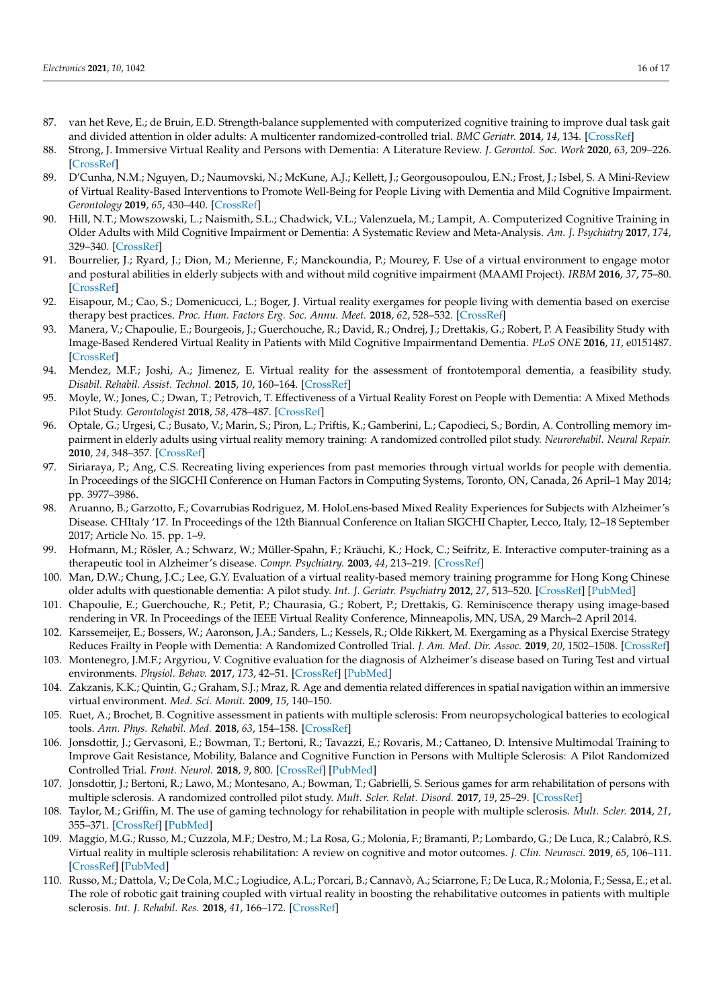- <span id="page-15-26"></span><span id="page-15-25"></span><span id="page-15-24"></span><span id="page-15-23"></span><span id="page-15-22"></span><span id="page-15-21"></span>87. van het Reve, E.; de Bruin, E.D. Strength-balance supplemented with computerized cognitive training to improve dual task gait and divided attention in older adults: A multicenter randomized-controlled trial. *BMC Geriatr.* **2014**, *14*, 134. [\[CrossRef\]](http://doi.org/10.1186/1471-2318-14-134)
- <span id="page-15-0"></span>88. Strong, J. Immersive Virtual Reality and Persons with Dementia: A Literature Review. *J. Gerontol. Soc. Work* **2020**, *63*, 209–226. [\[CrossRef\]](http://doi.org/10.1080/01634372.2020.1733726)
- <span id="page-15-27"></span><span id="page-15-1"></span>89. D'Cunha, N.M.; Nguyen, D.; Naumovski, N.; McKune, A.J.; Kellett, J.; Georgousopoulou, E.N.; Frost, J.; Isbel, S. A Mini-Review of Virtual Reality-Based Interventions to Promote Well-Being for People Living with Dementia and Mild Cognitive Impairment. *Gerontology* **2019**, *65*, 430–440. [\[CrossRef\]](http://doi.org/10.1159/000500040)
- <span id="page-15-28"></span>90. Hill, N.T.; Mowszowski, L.; Naismith, S.L.; Chadwick, V.L.; Valenzuela, M.; Lampit, A. Computerized Cognitive Training in Older Adults with Mild Cognitive Impairment or Dementia: A Systematic Review and Meta-Analysis. *Am. J. Psychiatry* **2017**, *174*, 329–340. [\[CrossRef\]](http://doi.org/10.1176/appi.ajp.2016.16030360)
- <span id="page-15-30"></span><span id="page-15-29"></span><span id="page-15-2"></span>91. Bourrelier, J.; Ryard, J.; Dion, M.; Merienne, F.; Manckoundia, P.; Mourey, F. Use of a virtual environment to engage motor and postural abilities in elderly subjects with and without mild cognitive impairment (MAAMI Project). *IRBM* **2016**, *37*, 75–80. [\[CrossRef\]](http://doi.org/10.1016/j.irbm.2016.02.007)
- <span id="page-15-3"></span>92. Eisapour, M.; Cao, S.; Domenicucci, L.; Boger, J. Virtual reality exergames for people living with dementia based on exercise therapy best practices. *Proc. Hum. Factors Erg. Soc. Annu. Meet.* **2018**, *62*, 528–532. [\[CrossRef\]](http://doi.org/10.1177/1541931218621120)
- <span id="page-15-31"></span><span id="page-15-12"></span>93. Manera, V.; Chapoulie, E.; Bourgeois, J.; Guerchouche, R.; David, R.; Ondrej, J.; Drettakis, G.; Robert, P. A Feasibility Study with Image-Based Rendered Virtual Reality in Patients with Mild Cognitive Impairmentand Dementia. *PLoS ONE* **2016**, *11*, e0151487. [\[CrossRef\]](http://doi.org/10.1371/journal.pone.0151487)
- 94. Mendez, M.F.; Joshi, A.; Jimenez, E. Virtual reality for the assessment of frontotemporal dementia, a feasibility study. *Disabil. Rehabil. Assist. Technol.* **2015**, *10*, 160–164. [\[CrossRef\]](http://doi.org/10.3109/17483107.2014.889230)
- <span id="page-15-13"></span>95. Moyle, W.; Jones, C.; Dwan, T.; Petrovich, T. Effectiveness of a Virtual Reality Forest on People with Dementia: A Mixed Methods Pilot Study. *Gerontologist* **2018**, *58*, 478–487. [\[CrossRef\]](http://doi.org/10.1093/geront/gnw270)
- <span id="page-15-11"></span>96. Optale, G.; Urgesi, C.; Busato, V.; Marin, S.; Piron, L.; Priftis, K.; Gamberini, L.; Capodieci, S.; Bordin, A. Controlling memory impairment in elderly adults using virtual reality memory training: A randomized controlled pilot study. *Neurorehabil. Neural Repair.* **2010**, *24*, 348–357. [\[CrossRef\]](http://doi.org/10.1177/1545968309353328)
- <span id="page-15-33"></span><span id="page-15-8"></span>97. Siriaraya, P.; Ang, C.S. Recreating living experiences from past memories through virtual worlds for people with dementia. In Proceedings of the SIGCHI Conference on Human Factors in Computing Systems, Toronto, ON, Canada, 26 April–1 May 2014; pp. 3977–3986.
- <span id="page-15-4"></span>98. Aruanno, B.; Garzotto, F.; Covarrubias Rodriguez, M. HoloLens-based Mixed Reality Experiences for Subjects with Alzheimer's Disease. CHItaly '17. In Proceedings of the 12th Biannual Conference on Italian SIGCHI Chapter, Lecco, Italy, 12–18 September 2017; Article No. 15. pp. 1–9.
- <span id="page-15-5"></span>99. Hofmann, M.; Rösler, A.; Schwarz, W.; Müller-Spahn, F.; Kräuchi, K.; Hock, C.; Seifritz, E. Interactive computer-training as a therapeutic tool in Alzheimer's disease. *Compr. Psychiatry.* **2003**, *44*, 213–219. [\[CrossRef\]](http://doi.org/10.1016/S0010-440X(03)00006-3)
- <span id="page-15-32"></span><span id="page-15-6"></span>100. Man, D.W.; Chung, J.C.; Lee, G.Y. Evaluation of a virtual reality-based memory training programme for Hong Kong Chinese older adults with questionable dementia: A pilot study. *Int. J. Geriatr. Psychiatry* **2012**, *27*, 513–520. [\[CrossRef\]](http://doi.org/10.1002/gps.2746) [\[PubMed\]](http://www.ncbi.nlm.nih.gov/pubmed/21681818)
- <span id="page-15-7"></span>101. Chapoulie, E.; Guerchouche, R.; Petit, P.; Chaurasia, G.; Robert, P.; Drettakis, G. Reminiscence therapy using image-based rendering in VR. In Proceedings of the IEEE Virtual Reality Conference, Minneapolis, MN, USA, 29 March–2 April 2014.
- <span id="page-15-9"></span>102. Karssemeijer, E.; Bossers, W.; Aaronson, J.A.; Sanders, L.; Kessels, R.; Olde Rikkert, M. Exergaming as a Physical Exercise Strategy Reduces Frailty in People with Dementia: A Randomized Controlled Trial. *J. Am. Med. Dir. Assoc.* **2019**, *20*, 1502–1508. [\[CrossRef\]](http://doi.org/10.1016/j.jamda.2019.06.026)
- <span id="page-15-10"></span>103. Montenegro, J.M.F.; Argyriou, V. Cognitive evaluation for the diagnosis of Alzheimer's disease based on Turing Test and virtual environments. *Physiol. Behav.* **2017**, *173*, 42–51. [\[CrossRef\]](http://doi.org/10.1016/j.physbeh.2017.01.034) [\[PubMed\]](http://www.ncbi.nlm.nih.gov/pubmed/28137425)
- <span id="page-15-14"></span>104. Zakzanis, K.K.; Quintin, G.; Graham, S.J.; Mraz, R. Age and dementia related differences in spatial navigation within an immersive virtual environment. *Med. Sci. Monit.* **2009**, *15*, 140–150.
- <span id="page-15-15"></span>105. Ruet, A.; Brochet, B. Cognitive assessment in patients with multiple sclerosis: From neuropsychological batteries to ecological tools. *Ann. Phys. Rehabil. Med.* **2018**, *63*, 154–158. [\[CrossRef\]](http://doi.org/10.1016/j.rehab.2018.01.006)
- <span id="page-15-16"></span>106. Jonsdottir, J.; Gervasoni, E.; Bowman, T.; Bertoni, R.; Tavazzi, E.; Rovaris, M.; Cattaneo, D. Intensive Multimodal Training to Improve Gait Resistance, Mobility, Balance and Cognitive Function in Persons with Multiple Sclerosis: A Pilot Randomized Controlled Trial. *Front. Neurol.* **2018**, *9*, 800. [\[CrossRef\]](http://doi.org/10.3389/fneur.2018.00800) [\[PubMed\]](http://www.ncbi.nlm.nih.gov/pubmed/30323787)
- <span id="page-15-17"></span>107. Jonsdottir, J.; Bertoni, R.; Lawo, M.; Montesano, A.; Bowman, T.; Gabrielli, S. Serious games for arm rehabilitation of persons with multiple sclerosis. A randomized controlled pilot study. *Mult. Scler. Relat. Disord.* **2017**, *19*, 25–29. [\[CrossRef\]](http://doi.org/10.1016/j.msard.2017.10.010)
- <span id="page-15-20"></span>108. Taylor, M.; Griffin, M. The use of gaming technology for rehabilitation in people with multiple sclerosis. *Mult. Scler.* **2014**, *21*, 355–371. [\[CrossRef\]](http://doi.org/10.1177/1352458514563593) [\[PubMed\]](http://www.ncbi.nlm.nih.gov/pubmed/25533296)
- <span id="page-15-18"></span>109. Maggio, M.G.; Russo, M.; Cuzzola, M.F.; Destro, M.; La Rosa, G.; Molonia, F.; Bramanti, P.; Lombardo, G.; De Luca, R.; Calabrò, R.S. Virtual reality in multiple sclerosis rehabilitation: A review on cognitive and motor outcomes. *J. Clin. Neurosci.* **2019**, *65*, 106–111. [\[CrossRef\]](http://doi.org/10.1016/j.jocn.2019.03.017) [\[PubMed\]](http://www.ncbi.nlm.nih.gov/pubmed/30898488)
- <span id="page-15-19"></span>110. Russo, M.; Dattola, V.; De Cola, M.C.; Logiudice, A.L.; Porcari, B.; Cannavò, A.; Sciarrone, F.; De Luca, R.; Molonia, F.; Sessa, E.; et al. The role of robotic gait training coupled with virtual reality in boosting the rehabilitative outcomes in patients with multiple sclerosis. *Int. J. Rehabil. Res.* **2018**, *41*, 166–172. [\[CrossRef\]](http://doi.org/10.1097/MRR.0000000000000270)